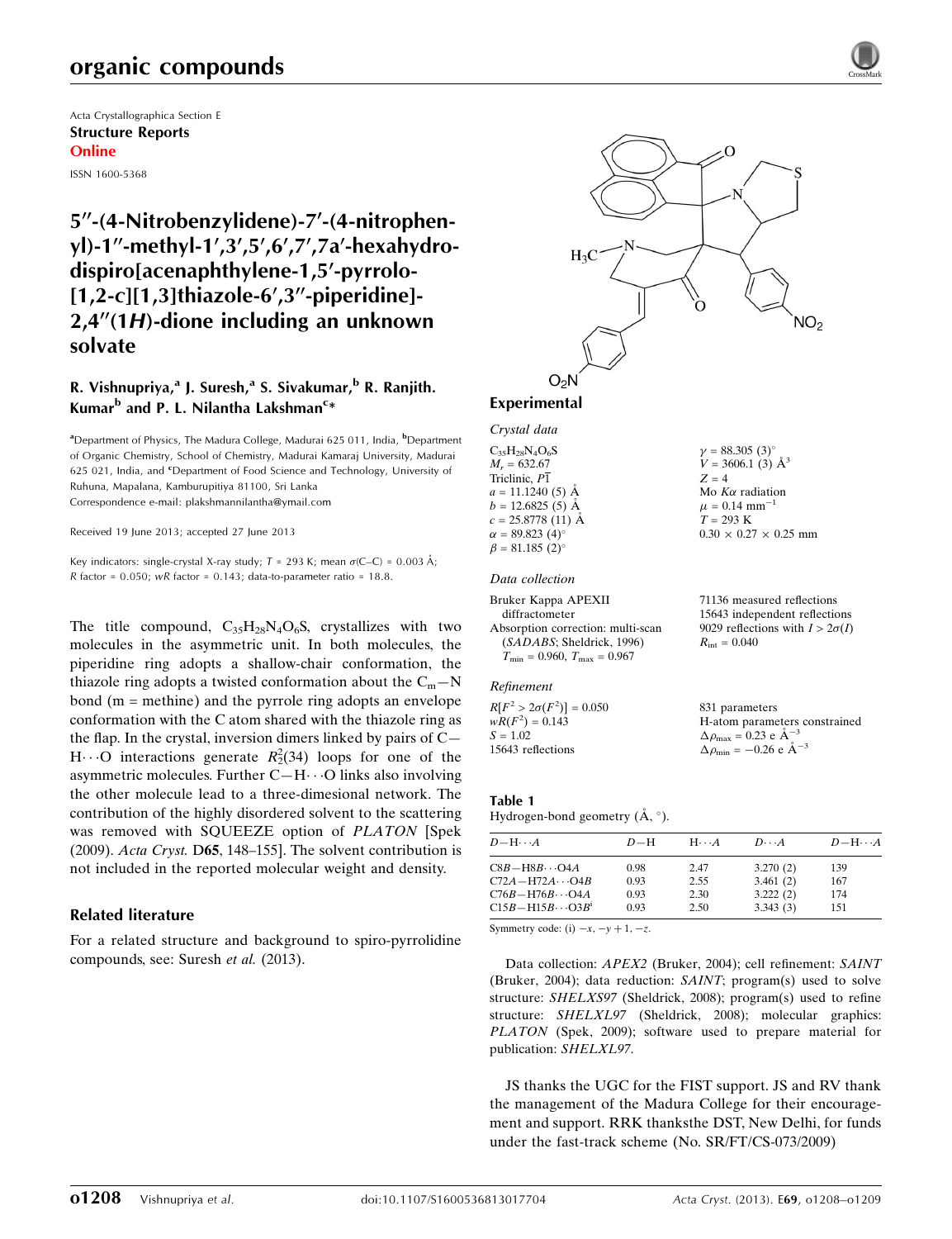# organic compounds

Acta Crystallographica Section E Structure Reports Online

ISSN 1600-5368

# 5"-(4-Nitrobenzylidene)-7'-(4-nitrophenyl)-1"-methyl-1',3',5',6',7',7a'-hexahydrodispiro[acenaphthylene-1,5'-pyrrolo- $[1,2-c][1,3]$ thiazole-6',3"-piperidine]- $2.4''(1H)$ -dione including an unknown solvate

## R. Vishnupriya,<sup>a</sup> J. Suresh,<sup>a</sup> S. Sivakumar,<sup>b</sup> R. Ranjith. Kumar<sup>b</sup> and P. L. Nilantha Lakshman<sup>c</sup>\*

<sup>a</sup>Department of Physics, The Madura College, Madurai 625 011, India, <sup>b</sup>Department of Organic Chemistry, School of Chemistry, Madurai Kamaraj University, Madurai 625 021, India, and *'*Department of Food Science and Technology, University of Ruhuna, Mapalana, Kamburupitiya 81100, Sri Lanka Correspondence e-mail: [plakshmannilantha@ymail.com](https://scripts.iucr.org/cgi-bin/cr.cgi?rm=pdfbb&cnor=hb7098&bbid=BB5)

Received 19 June 2013; accepted 27 June 2013

Key indicators: single-crystal X-ray study;  $T = 293$  K; mean  $\sigma$ (C–C) = 0.003 Å; R factor =  $0.050$ ; wR factor =  $0.143$ ; data-to-parameter ratio =  $18.8$ .

The title compound,  $C_{35}H_{28}N_4O_6S$ , crystallizes with two molecules in the asymmetric unit. In both molecules, the piperidine ring adopts a shallow-chair conformation, the thiazole ring adopts a twisted conformation about the  $C_m - N$ bond (m = methine) and the pyrrole ring adopts an envelope conformation with the C atom shared with the thiazole ring as the flap. In the crystal, inversion dimers linked by pairs of C— H $\cdots$ O interactions generate  $R_2^2(34)$  loops for one of the asymmetric molecules. Further  $C-H\cdots O$  links also involving the other molecule lead to a three-dimesional network. The contribution of the highly disordered solvent to the scattering was removed with SQUEEZE option of PLATON [Spek (2009). Acta Cryst. D65, 148–155]. The solvent contribution is not included in the reported molecular weight and density.

#### Related literature

For a related structure and background to spiro-pyrrolidine compounds, see: Suresh et al. (2013).



 $\gamma = 88.305 \ (3)^{\circ}$  $V = 3606.1$  (3)  $\AA^3$ 

 $0.30 \times 0.27 \times 0.25$  mm

 $Z = 4$ Mo  $K\alpha$  radiation  $\mu = 0.14$  mm<sup>-1</sup>  $T = 293 K$ 

#### Experimental

Crystal data

 $C_{35}H_{28}N_{4}O_{6}S$  $M_r = 632.67$ Triclinic, P1  $a = 11.1240(5)$  Å  $b = 12.6825(5)$  Å  $c = 25.8778(11)$  Å  $\alpha = 89.823$  (4)<sup>o</sup>  $\beta = 81.185 (2)$ °

#### Data collection

```
Bruker Kappa APEXII
  diffractometer
Absorption correction: multi-scan
  (SADABS; Sheldrick, 1996)
  T_{\text{min}} = 0.960, T_{\text{max}} = 0.96771136 measured reflections
                                             15643 independent reflections
                                              9029 reflections with I > 2\sigma(I)R_{\text{int}} = 0.040
```
#### Refinement

 $R[F^2 > 2\sigma(F^2)] = 0.050$  $wR(F^2) = 0.143$  $S = 1.02$ 15643 reflections 831 parameters H-atom parameters constrained  $\Delta \rho_{\text{max}} = 0.23 \text{ e A}^{-3}$  $\Delta \rho_{\text{min}} = -0.26 \text{ e } \text{\AA}^{-3}$ 

#### Table 1

Hydrogen-bond geometry  $(A, \degree)$ .

| $D - H \cdots A$           | $D-H$ | $H \cdots A$ | $D\cdots A$ | $D - H \cdots A$ |
|----------------------------|-------|--------------|-------------|------------------|
| $C8B - H8B \cdots O4A$     | 0.98  | 2.47         | 3.270(2)    | 139              |
| $C72A - H72A \cdots O4B$   | 0.93  | 2.55         | 3.461(2)    | 167              |
| $C76B - H76B \cdots O4A$   | 0.93  | 2.30         | 3.222(2)    | 174              |
| $C15B - H15B \cdots O3B^1$ | 0.93  | 2.50         | 3.343(3)    | 151              |

Symmetry code: (i)  $-x$ ,  $-y + 1$ ,  $-z$ .

Data collection: APEX2 (Bruker, 2004); cell refinement: SAINT (Bruker, 2004); data reduction: SAINT; program(s) used to solve structure: SHELXS97 (Sheldrick, 2008); program(s) used to refine structure: SHELXL97 (Sheldrick, 2008); molecular graphics: PLATON (Spek, 2009); software used to prepare material for publication: SHELXL97.

JS thanks the UGC for the FIST support. JS and RV thank the management of the Madura College for their encouragement and support. RRK thanksthe DST, New Delhi, for funds under the fast-track scheme (No. SR/FT/CS-073/2009)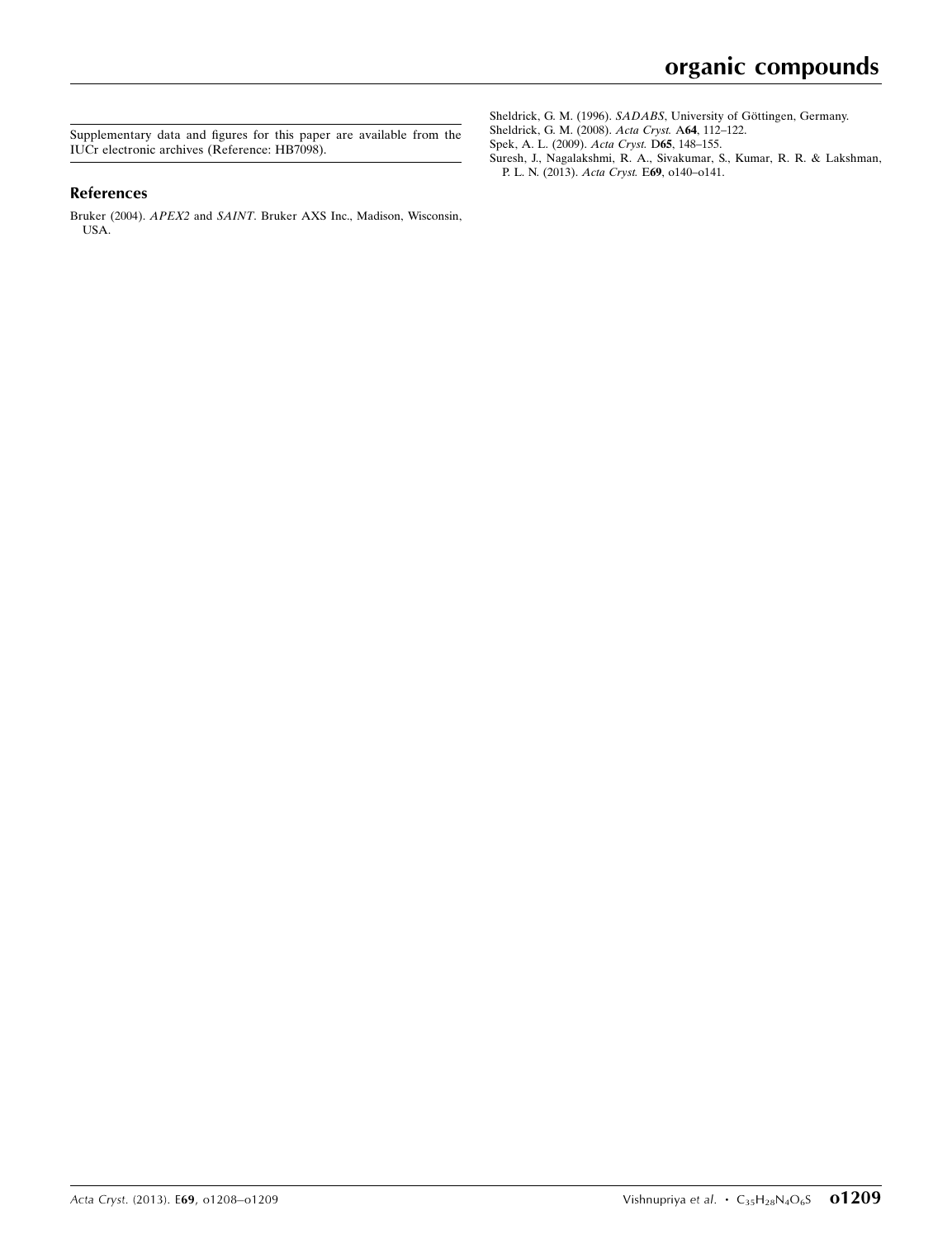Supplementary data and figures for this paper are available from the IUCr electronic archives (Reference: HB7098).

#### References

Bruker (2004). APEX2 and SAINT[. Bruker AXS Inc., Madison, Wisconsin,](https://scripts.iucr.org/cgi-bin/cr.cgi?rm=pdfbb&cnor=hb7098&bbid=BB1) [USA.](https://scripts.iucr.org/cgi-bin/cr.cgi?rm=pdfbb&cnor=hb7098&bbid=BB1)

Sheldrick, G. M. (1996). SADABS, University of Göttingen, Germany. [Sheldrick, G. M. \(2008\).](https://scripts.iucr.org/cgi-bin/cr.cgi?rm=pdfbb&cnor=hb7098&bbid=BB3) Acta Cryst. A64, 112–122.

[Spek, A. L. \(2009\).](https://scripts.iucr.org/cgi-bin/cr.cgi?rm=pdfbb&cnor=hb7098&bbid=BB4) Acta Cryst. D65, 148–155.

[Suresh, J., Nagalakshmi, R. A., Sivakumar, S., Kumar, R. R. & Lakshman,](https://scripts.iucr.org/cgi-bin/cr.cgi?rm=pdfbb&cnor=hb7098&bbid=BB5) [P. L. N. \(2013\).](https://scripts.iucr.org/cgi-bin/cr.cgi?rm=pdfbb&cnor=hb7098&bbid=BB5) Acta Cryst. E69, o140–o141.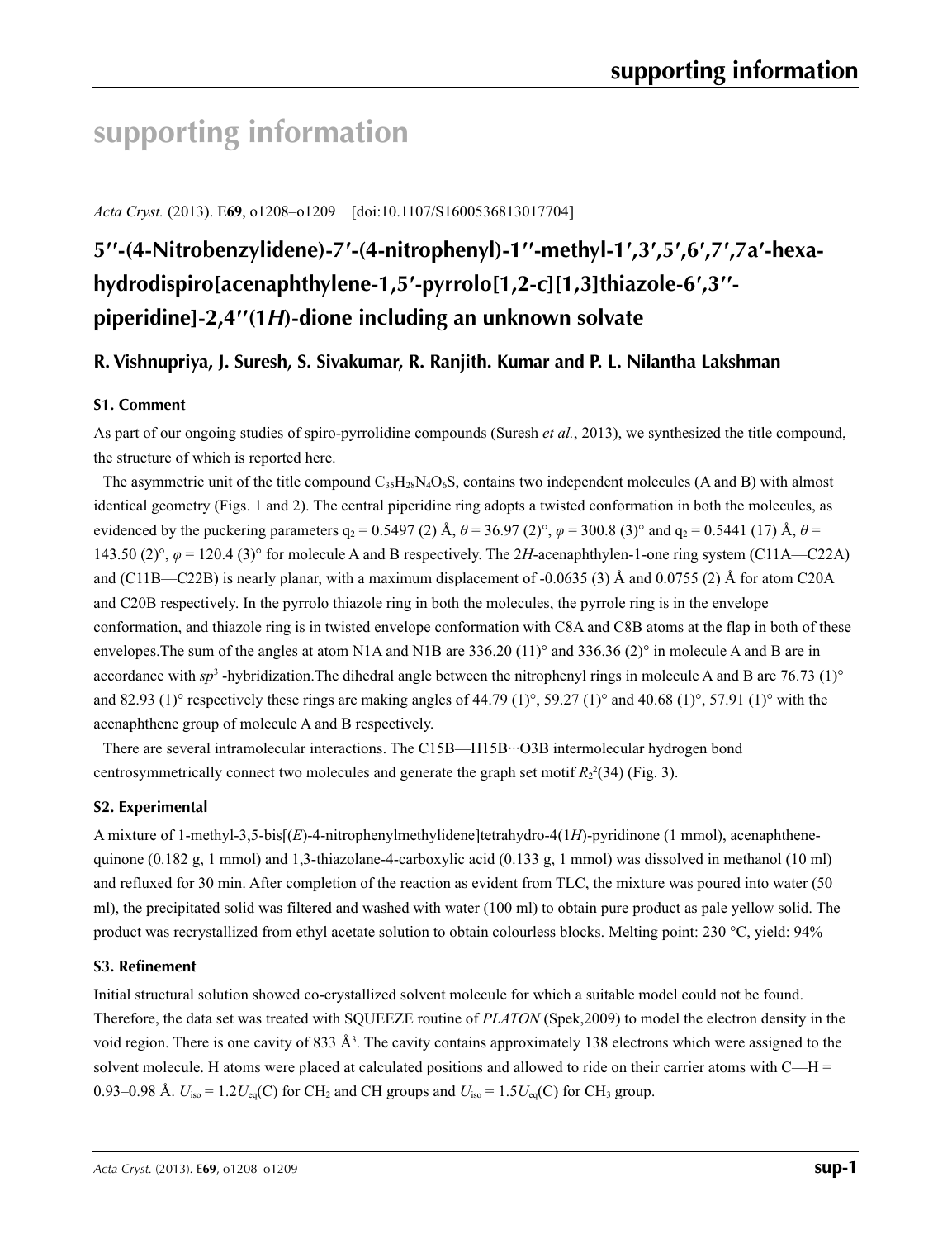# **supporting information**

*Acta Cryst.* (2013). E**69**, o1208–o1209 [doi:10.1107/S1600536813017704]

# **5′′-(4-Nitrobenzylidene)-7′-(4-nitrophenyl)-1′′-methyl-1′,3′,5′,6′,7′,7a′-hexahydrodispiro[acenaphthylene-1,5′-pyrrolo[1,2-***c***][1,3]thiazole-6′,3′′ piperidine]-2,4′′(1***H***)-dione including an unknown solvate**

## **R. Vishnupriya, J. Suresh, S. Sivakumar, R. Ranjith. Kumar and P. L. Nilantha Lakshman**

### **S1. Comment**

As part of our ongoing studies of spiro-pyrrolidine compounds (Suresh *et al.*, 2013), we synthesized the title compound, the structure of which is reported here.

The asymmetric unit of the title compound  $C_{35}H_{28}N_4O_6S$ , contains two independent molecules (A and B) with almost identical geometry (Figs. 1 and 2). The central piperidine ring adopts a twisted conformation in both the molecules, as evidenced by the puckering parameters  $q_2 = 0.5497 (2)$  Å,  $\theta = 36.97 (2)$ °,  $\varphi = 300.8 (3)$ ° and  $q_2 = 0.5441 (17)$  Å,  $\theta =$ 143.50 (2)°,  $\varphi$  = 120.4 (3)° for molecule A and B respectively. The 2*H*-acenaphthylen-1-one ring system (C11A—C22A) and (C11B—C22B) is nearly planar, with a maximum displacement of -0.0635 (3) Å and 0.0755 (2) Å for atom C20A and C20B respectively. In the pyrrolo thiazole ring in both the molecules, the pyrrole ring is in the envelope conformation, and thiazole ring is in twisted envelope conformation with C8A and C8B atoms at the flap in both of these envelopes.The sum of the angles at atom N1A and N1B are 336.20 (11)° and 336.36 (2)° in molecule A and B are in accordance with  $sp^3$  -hybridization. The dihedral angle between the nitrophenyl rings in molecule A and B are 76.73 (1)<sup>o</sup> and 82.93 (1)° respectively these rings are making angles of 44.79 (1)°, 59.27 (1)° and 40.68 (1)°, 57.91 (1)° with the acenaphthene group of molecule A and B respectively.

There are several intramolecular interactions. The C15B—H15B···O3B intermolecular hydrogen bond centrosymmetrically connect two molecules and generate the graph set motif  $R_2^2(34)$  (Fig. 3).

#### **S2. Experimental**

A mixture of 1-methyl-3,5-bis[(*E*)-4-nitrophenylmethylidene]tetrahydro-4(1*H*)-pyridinone (1 mmol), acenaphthenequinone (0.182 g, 1 mmol) and 1,3-thiazolane-4-carboxylic acid (0.133 g, 1 mmol) was dissolved in methanol (10 ml) and refluxed for 30 min. After completion of the reaction as evident from TLC, the mixture was poured into water (50 ml), the precipitated solid was filtered and washed with water (100 ml) to obtain pure product as pale yellow solid. The product was recrystallized from ethyl acetate solution to obtain colourless blocks. Melting point: 230 °C, yield: 94%

### **S3. Refinement**

Initial structural solution showed co-crystallized solvent molecule for which a suitable model could not be found. Therefore, the data set was treated with SQUEEZE routine of *PLATON* (Spek,2009) to model the electron density in the void region. There is one cavity of 833  $\AA^3$ . The cavity contains approximately 138 electrons which were assigned to the solvent molecule. H atoms were placed at calculated positions and allowed to ride on their carrier atoms with C—H = 0.93–0.98 Å.  $U_{iso} = 1.2U_{eq}(C)$  for CH<sub>2</sub> and CH groups and  $U_{iso} = 1.5U_{eq}(C)$  for CH<sub>3</sub> group.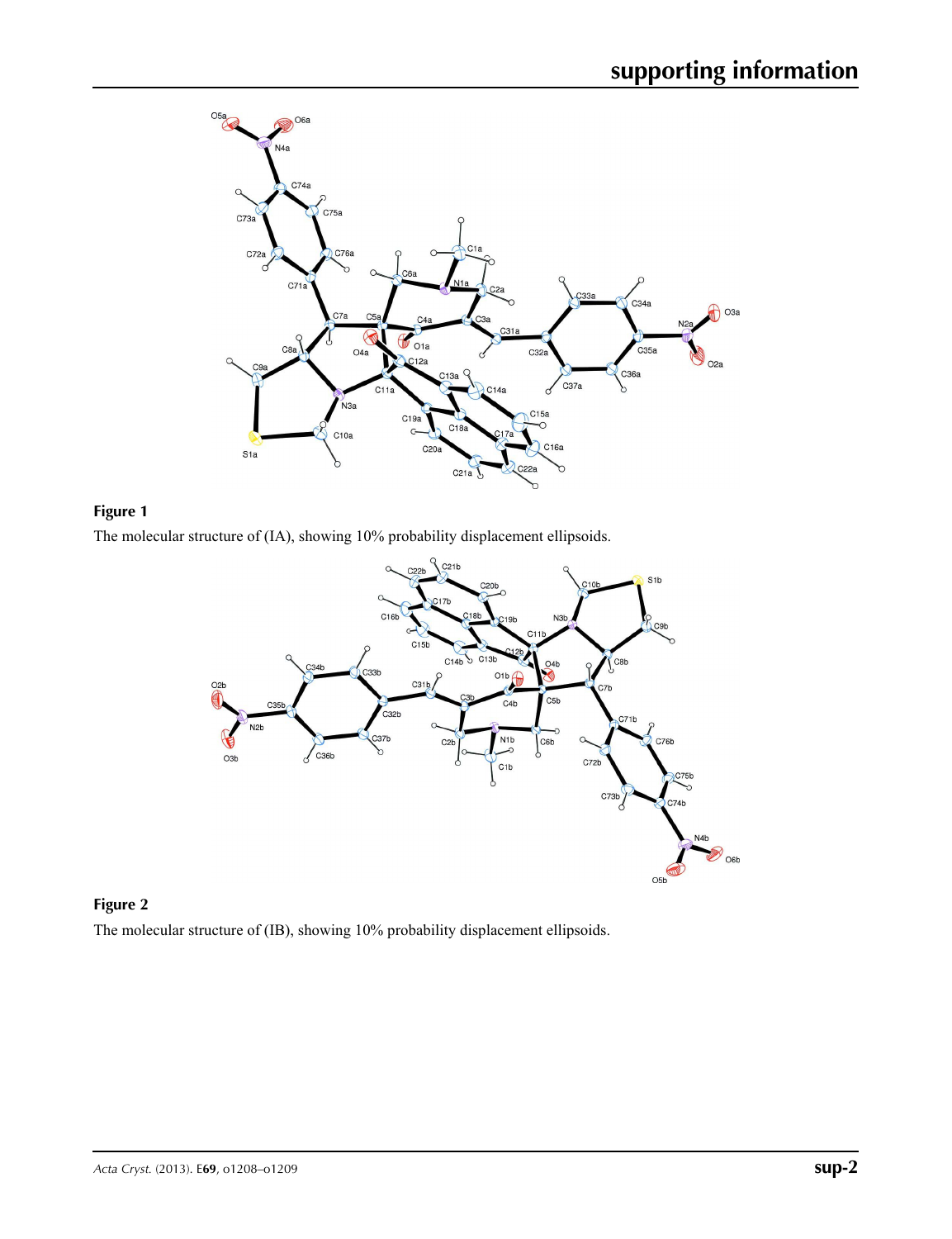



The molecular structure of (IA), showing 10% probability displacement ellipsoids.



## **Figure 2**

The molecular structure of (IB), showing 10% probability displacement ellipsoids.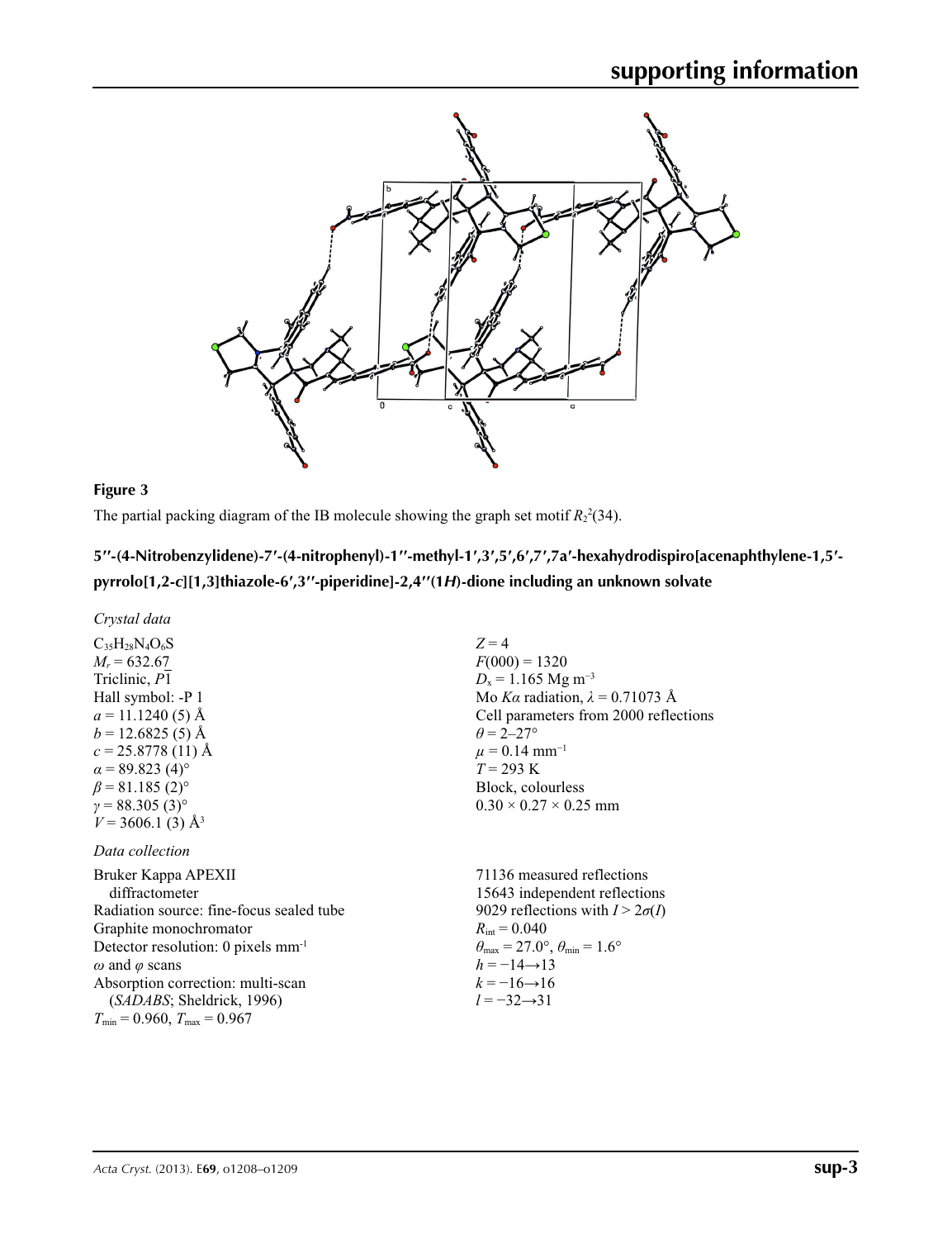

#### **Figure 3**

The partial packing diagram of the IB molecule showing the graph set motif  $R_2^2(34)$ .

## 5'-(4-Nitrobenzylidene)-7'-(4-nitrophenyl)-1"-methyl-1',3',5',6',7',7a'-hexahydrodispiro[acenaphthylene-1,5'**pyrrolo[1,2-***c***][1,3]thiazole-6′,3′′-piperidine]-2,4′′(1***H***)-dione including an unknown solvate**

*Crystal data*

 $C_{35}H_{28}N_{4}O_{6}S$  $M_r = 632.67$ Triclinic, *P*1 Hall symbol: -P 1  $a = 11.1240(5)$  Å  $b = 12.6825(5)$  Å  $c = 25.8778(11)$  Å  $\alpha$  = 89.823 (4)<sup>o</sup>  $\beta$  = 81.185 (2)<sup>o</sup>  $\gamma = 88.305(3)$ °  $V = 3606.1$  (3)  $\AA^3$ 

#### *Data collection*

Bruker Kappa APEXII diffractometer Radiation source: fine-focus sealed tube Graphite monochromator Detector resolution: 0 pixels mm-1 *ω* and *φ* scans Absorption correction: multi-scan (*SADABS*; Sheldrick, 1996)  $T_{\text{min}} = 0.960, T_{\text{max}} = 0.967$ 

 $Z = 4$  $F(000) = 1320$  $D_x = 1.165$  Mg m<sup>-3</sup> Mo *Kα* radiation,  $\lambda = 0.71073$  Å Cell parameters from 2000 reflections  $\theta$  = 2–27°  $\mu$  = 0.14 mm<sup>-1</sup>  $T = 293 \text{ K}$ Block, colourless  $0.30 \times 0.27 \times 0.25$  mm

71136 measured reflections 15643 independent reflections 9029 reflections with  $I > 2\sigma(I)$  $R_{\text{int}} = 0.040$  $\theta_{\text{max}} = 27.0^{\circ}, \theta_{\text{min}} = 1.6^{\circ}$  $h = -14 \rightarrow 13$  $k = -16 \rightarrow 16$ *l* = −32→31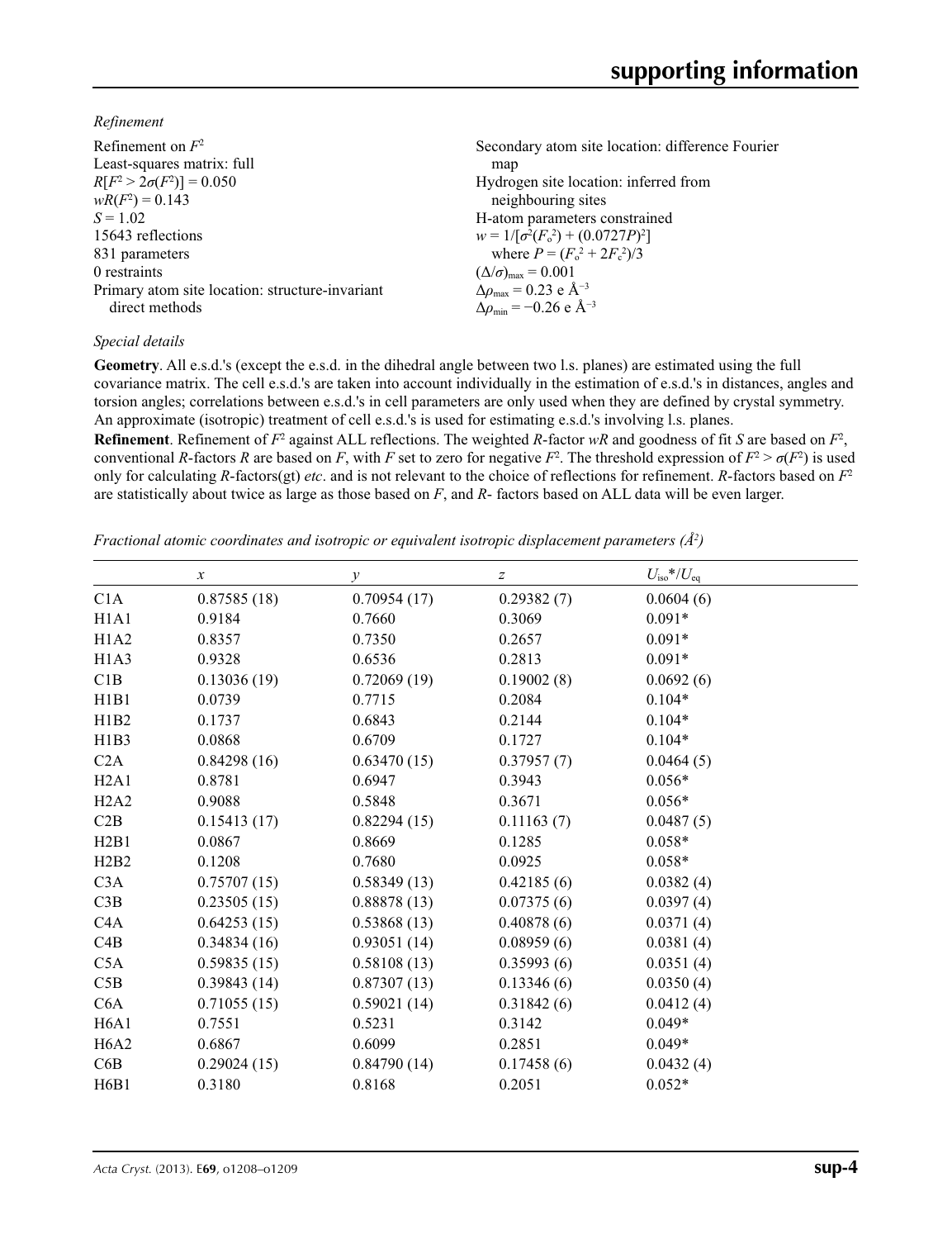*Refinement*

| Refinement on $F^2$<br>Least-squares matrix: full<br>$R[F^2 > 2\sigma(F^2)] = 0.050$<br>$wR(F^2) = 0.143$ | Secondary atom site location: difference Fourier<br>map<br>Hydrogen site location: inferred from |
|-----------------------------------------------------------------------------------------------------------|--------------------------------------------------------------------------------------------------|
| $S = 1.02$                                                                                                | neighbouring sites<br>H-atom parameters constrained                                              |
| 15643 reflections                                                                                         | $w = 1/[\sigma^2(F_0^2) + (0.0727P)^2]$                                                          |
| 831 parameters                                                                                            | where $P = (F_o^2 + 2F_c^2)/3$                                                                   |
| 0 restraints                                                                                              | $(\Delta/\sigma)_{\text{max}} = 0.001$                                                           |
| Primary atom site location: structure-invariant                                                           | $\Delta \rho_{\text{max}} = 0.23 \text{ e } \text{\AA}^{-3}$                                     |
| direct methods                                                                                            | $\Delta\rho_{\rm min} = -0.26 \text{ e } \text{\AA}^{-3}$                                        |
|                                                                                                           |                                                                                                  |

#### *Special details*

**Geometry**. All e.s.d.'s (except the e.s.d. in the dihedral angle between two l.s. planes) are estimated using the full covariance matrix. The cell e.s.d.'s are taken into account individually in the estimation of e.s.d.'s in distances, angles and torsion angles; correlations between e.s.d.'s in cell parameters are only used when they are defined by crystal symmetry. An approximate (isotropic) treatment of cell e.s.d.'s is used for estimating e.s.d.'s involving l.s. planes.

**Refinement**. Refinement of  $F^2$  against ALL reflections. The weighted R-factor wR and goodness of fit *S* are based on  $F^2$ , conventional *R*-factors *R* are based on *F*, with *F* set to zero for negative  $F^2$ . The threshold expression of  $F^2 > \sigma(F^2)$  is used only for calculating *R*-factors(gt) *etc*. and is not relevant to the choice of reflections for refinement. *R*-factors based on *F*<sup>2</sup> are statistically about twice as large as those based on *F*, and *R*- factors based on ALL data will be even larger.

*Fractional atomic coordinates and isotropic or equivalent isotropic displacement parameters (Å<sup>2</sup>)* 

|                               | $\boldsymbol{x}$ | $\mathcal{Y}$ | z          | $U_{\rm iso}$ */ $U_{\rm eq}$ |
|-------------------------------|------------------|---------------|------------|-------------------------------|
| C1A                           | 0.87585(18)      | 0.70954(17)   | 0.29382(7) | 0.0604(6)                     |
| H1A1                          | 0.9184           | 0.7660        | 0.3069     | $0.091*$                      |
| H1A2                          | 0.8357           | 0.7350        | 0.2657     | $0.091*$                      |
| H1A3                          | 0.9328           | 0.6536        | 0.2813     | $0.091*$                      |
| C1B                           | 0.13036(19)      | 0.72069(19)   | 0.19002(8) | 0.0692(6)                     |
| H1B1                          | 0.0739           | 0.7715        | 0.2084     | $0.104*$                      |
| H1B2                          | 0.1737           | 0.6843        | 0.2144     | $0.104*$                      |
| H1B3                          | 0.0868           | 0.6709        | 0.1727     | $0.104*$                      |
| C2A                           | 0.84298(16)      | 0.63470(15)   | 0.37957(7) | 0.0464(5)                     |
| H2A1                          | 0.8781           | 0.6947        | 0.3943     | $0.056*$                      |
| H2A2                          | 0.9088           | 0.5848        | 0.3671     | $0.056*$                      |
| C2B                           | 0.15413(17)      | 0.82294(15)   | 0.11163(7) | 0.0487(5)                     |
| H2B1                          | 0.0867           | 0.8669        | 0.1285     | $0.058*$                      |
| H2B2                          | 0.1208           | 0.7680        | 0.0925     | $0.058*$                      |
| C3A                           | 0.75707(15)      | 0.58349(13)   | 0.42185(6) | 0.0382(4)                     |
| C3B                           | 0.23505(15)      | 0.88878(13)   | 0.07375(6) | 0.0397(4)                     |
| C <sub>4</sub> A              | 0.64253(15)      | 0.53868(13)   | 0.40878(6) | 0.0371(4)                     |
| C4B                           | 0.34834(16)      | 0.93051(14)   | 0.08959(6) | 0.0381(4)                     |
| C5A                           | 0.59835(15)      | 0.58108(13)   | 0.35993(6) | 0.0351(4)                     |
| C5B                           | 0.39843(14)      | 0.87307(13)   | 0.13346(6) | 0.0350(4)                     |
| C6A                           | 0.71055(15)      | 0.59021(14)   | 0.31842(6) | 0.0412(4)                     |
| H <sub>6</sub> A <sub>1</sub> | 0.7551           | 0.5231        | 0.3142     | $0.049*$                      |
| H <sub>6</sub> A <sub>2</sub> | 0.6867           | 0.6099        | 0.2851     | $0.049*$                      |
| C6B                           | 0.29024(15)      | 0.84790(14)   | 0.17458(6) | 0.0432(4)                     |
| H <sub>6</sub> B <sub>1</sub> | 0.3180           | 0.8168        | 0.2051     | $0.052*$                      |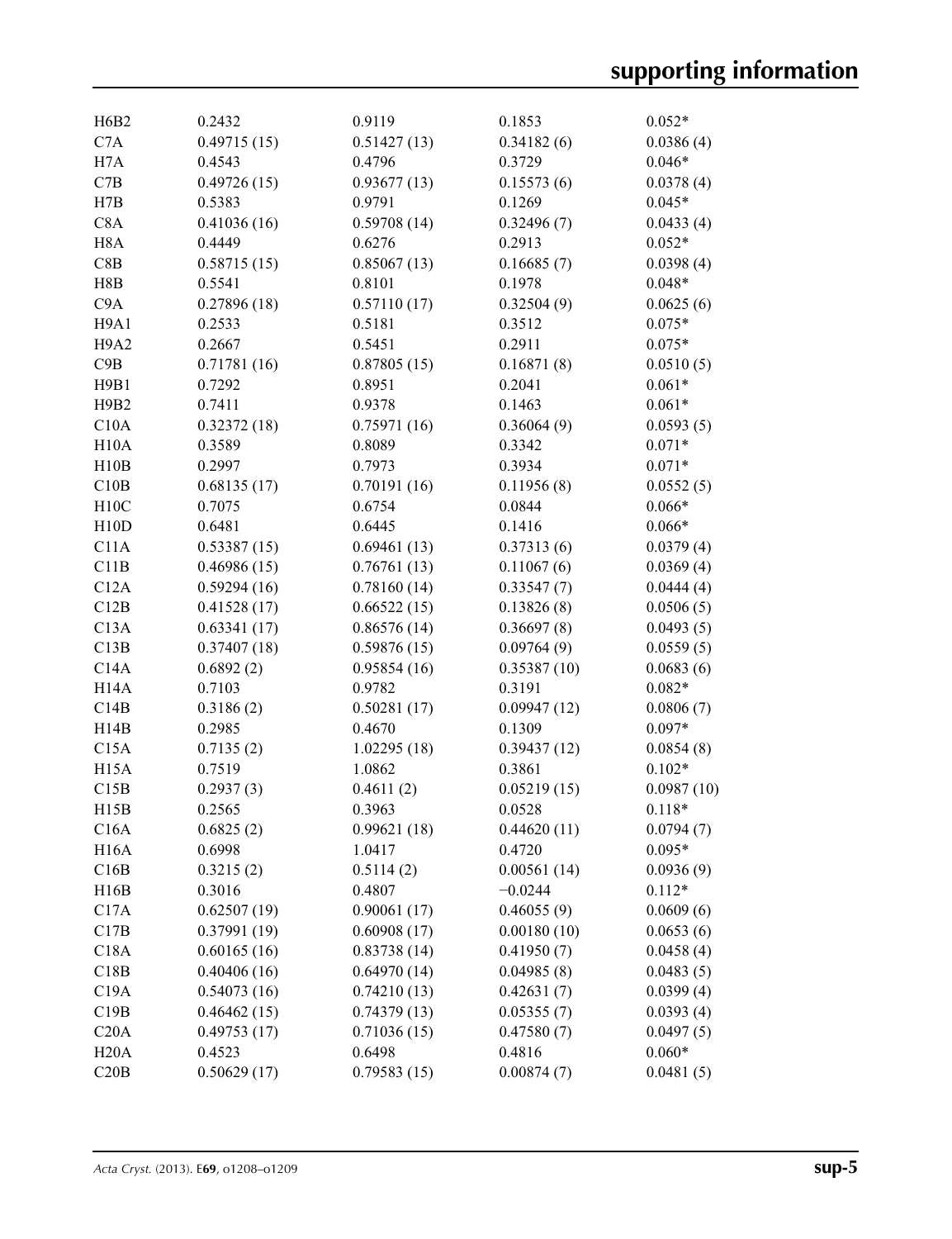| H <sub>6</sub> B <sub>2</sub> | 0.2432      | 0.9119      | 0.1853      | $0.052*$   |
|-------------------------------|-------------|-------------|-------------|------------|
| C7A                           | 0.49715(15) | 0.51427(13) | 0.34182(6)  | 0.0386(4)  |
| H7A                           | 0.4543      | 0.4796      | 0.3729      | $0.046*$   |
| C7B                           | 0.49726(15) | 0.93677(13) | 0.15573(6)  | 0.0378(4)  |
| H7B                           | 0.5383      | 0.9791      | 0.1269      | $0.045*$   |
| C8A                           | 0.41036(16) | 0.59708(14) | 0.32496(7)  | 0.0433(4)  |
| H <sub>8</sub> A              | 0.4449      | 0.6276      | 0.2913      | $0.052*$   |
| C8B                           | 0.58715(15) | 0.85067(13) | 0.16685(7)  | 0.0398(4)  |
| H8B                           | 0.5541      | 0.8101      | 0.1978      | $0.048*$   |
| C <sub>9</sub> A              | 0.27896(18) | 0.57110(17) | 0.32504(9)  | 0.0625(6)  |
| H9A1                          | 0.2533      | 0.5181      | 0.3512      | $0.075*$   |
| H <sub>9</sub> A <sub>2</sub> | 0.2667      | 0.5451      | 0.2911      | $0.075*$   |
| C9B                           | 0.71781(16) | 0.87805(15) | 0.16871(8)  | 0.0510(5)  |
| H9B1                          | 0.7292      | 0.8951      | 0.2041      | $0.061*$   |
| H9B2                          | 0.7411      | 0.9378      | 0.1463      | $0.061*$   |
| C10A                          | 0.32372(18) | 0.75971(16) | 0.36064(9)  | 0.0593(5)  |
| H10A                          | 0.3589      | 0.8089      | 0.3342      | $0.071*$   |
| H10B                          | 0.2997      | 0.7973      | 0.3934      | $0.071*$   |
| C10B                          | 0.68135(17) | 0.70191(16) | 0.11956(8)  | 0.0552(5)  |
| H10C                          | 0.7075      | 0.6754      | 0.0844      | $0.066*$   |
| H10D                          | 0.6481      | 0.6445      | 0.1416      | $0.066*$   |
| C11A                          | 0.53387(15) | 0.69461(13) | 0.37313(6)  | 0.0379(4)  |
| C11B                          | 0.46986(15) | 0.76761(13) | 0.11067(6)  | 0.0369(4)  |
| C12A                          | 0.59294(16) | 0.78160(14) | 0.33547(7)  | 0.0444(4)  |
| C12B                          | 0.41528(17) | 0.66522(15) | 0.13826(8)  | 0.0506(5)  |
| C13A                          | 0.63341(17) | 0.86576(14) | 0.36697(8)  | 0.0493(5)  |
| C13B                          | 0.37407(18) | 0.59876(15) | 0.09764(9)  | 0.0559(5)  |
| C14A                          | 0.6892(2)   | 0.95854(16) | 0.35387(10) | 0.0683(6)  |
| H <sub>14</sub> A             | 0.7103      | 0.9782      | 0.3191      | $0.082*$   |
| C14B                          | 0.3186(2)   | 0.50281(17) | 0.09947(12) | 0.0806(7)  |
| H14B                          | 0.2985      | 0.4670      | 0.1309      | $0.097*$   |
| C15A                          | 0.7135(2)   | 1.02295(18) | 0.39437(12) | 0.0854(8)  |
| H <sub>15</sub> A             | 0.7519      | 1.0862      | 0.3861      | $0.102*$   |
| C15B                          | 0.2937(3)   | 0.4611(2)   | 0.05219(15) | 0.0987(10) |
| H15B                          | 0.2565      | 0.3963      | 0.0528      | $0.118*$   |
| C16A                          | 0.6825(2)   | 0.99621(18) | 0.44620(11) | 0.0794(7)  |
| H <sub>16</sub> A             | 0.6998      | 1.0417      | 0.4720      | $0.095*$   |
| C16B                          | 0.3215(2)   | 0.5114(2)   | 0.00561(14) | 0.0936(9)  |
| H16B                          | 0.3016      | 0.4807      | $-0.0244$   | $0.112*$   |
| C17A                          | 0.62507(19) | 0.90061(17) | 0.46055(9)  | 0.0609(6)  |
| C17B                          | 0.37991(19) | 0.60908(17) | 0.00180(10) | 0.0653(6)  |
| C18A                          | 0.60165(16) | 0.83738(14) | 0.41950(7)  | 0.0458(4)  |
| C18B                          | 0.40406(16) | 0.64970(14) | 0.04985(8)  | 0.0483(5)  |
| C19A                          | 0.54073(16) | 0.74210(13) | 0.42631(7)  | 0.0399(4)  |
| C19B                          | 0.46462(15) | 0.74379(13) | 0.05355(7)  | 0.0393(4)  |
| C20A                          | 0.49753(17) | 0.71036(15) | 0.47580(7)  | 0.0497(5)  |
| H20A                          | 0.4523      | 0.6498      | 0.4816      | $0.060*$   |
| C20B                          | 0.50629(17) | 0.79583(15) | 0.00874(7)  | 0.0481(5)  |
|                               |             |             |             |            |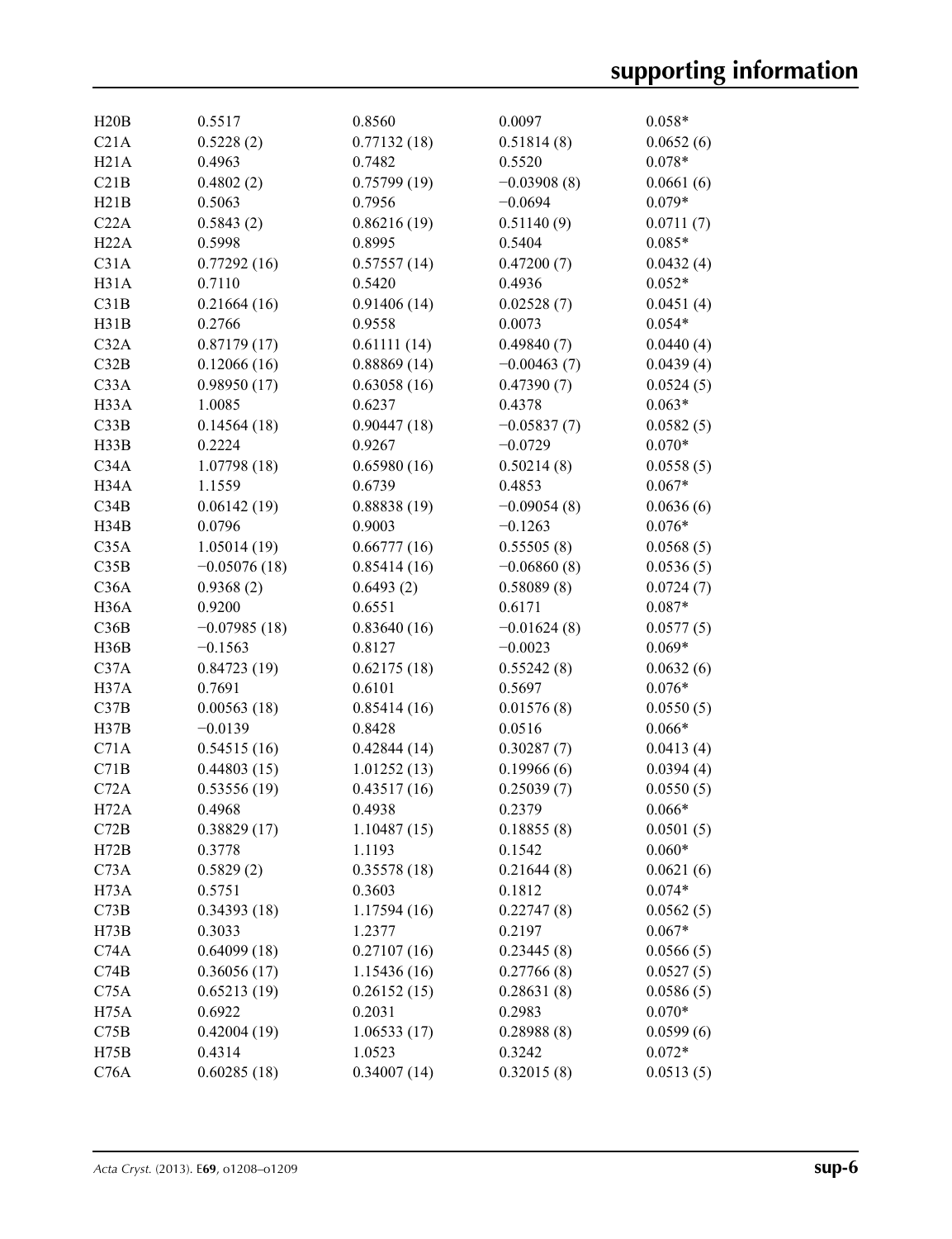| H20B              | 0.5517         | 0.8560      | 0.0097        | $0.058*$  |
|-------------------|----------------|-------------|---------------|-----------|
| C21A              | 0.5228(2)      | 0.77132(18) | 0.51814(8)    | 0.0652(6) |
| H21A              | 0.4963         | 0.7482      | 0.5520        | $0.078*$  |
| C21B              | 0.4802(2)      | 0.75799(19) | $-0.03908(8)$ | 0.0661(6) |
| H21B              | 0.5063         | 0.7956      | $-0.0694$     | $0.079*$  |
| C22A              | 0.5843(2)      | 0.86216(19) | 0.51140(9)    | 0.0711(7) |
| H22A              | 0.5998         | 0.8995      | 0.5404        | $0.085*$  |
| C31A              | 0.77292(16)    | 0.57557(14) | 0.47200(7)    | 0.0432(4) |
| H31A              | 0.7110         | 0.5420      | 0.4936        | $0.052*$  |
| C31B              | 0.21664(16)    | 0.91406(14) | 0.02528(7)    | 0.0451(4) |
| H31B              | 0.2766         | 0.9558      | 0.0073        | $0.054*$  |
| C32A              | 0.87179(17)    | 0.61111(14) | 0.49840(7)    | 0.0440(4) |
| C32B              | 0.12066(16)    | 0.88869(14) | $-0.00463(7)$ | 0.0439(4) |
| C33A              | 0.98950(17)    | 0.63058(16) | 0.47390(7)    | 0.0524(5) |
| H33A              | 1.0085         | 0.6237      | 0.4378        | $0.063*$  |
| C33B              | 0.14564(18)    | 0.90447(18) | $-0.05837(7)$ | 0.0582(5) |
| H33B              | 0.2224         | 0.9267      | $-0.0729$     | $0.070*$  |
| C34A              | 1.07798(18)    | 0.65980(16) | 0.50214(8)    | 0.0558(5) |
| H34A              | 1.1559         | 0.6739      | 0.4853        | $0.067*$  |
| C34B              | 0.06142(19)    | 0.88838(19) | $-0.09054(8)$ | 0.0636(6) |
| H34B              | 0.0796         | 0.9003      | $-0.1263$     | $0.076*$  |
| C35A              | 1.05014(19)    | 0.66777(16) | 0.55505(8)    | 0.0568(5) |
| C35B              | $-0.05076(18)$ | 0.85414(16) | $-0.06860(8)$ | 0.0536(5) |
| C36A              | 0.9368(2)      | 0.6493(2)   | 0.58089(8)    | 0.0724(7) |
| H <sub>36</sub> A | 0.9200         | 0.6551      | 0.6171        | $0.087*$  |
| C36B              | $-0.07985(18)$ | 0.83640(16) | $-0.01624(8)$ | 0.0577(5) |
| H36B              | $-0.1563$      | 0.8127      | $-0.0023$     | $0.069*$  |
| C37A              | 0.84723(19)    | 0.62175(18) | 0.55242(8)    | 0.0632(6) |
| H37A              | 0.7691         | 0.6101      | 0.5697        | $0.076*$  |
| C37B              | 0.00563(18)    | 0.85414(16) | 0.01576(8)    | 0.0550(5) |
| H37B              | $-0.0139$      | 0.8428      | 0.0516        | $0.066*$  |
| C71A              | 0.54515(16)    | 0.42844(14) | 0.30287(7)    | 0.0413(4) |
| C71B              | 0.44803(15)    | 1.01252(13) | 0.19966(6)    | 0.0394(4) |
| C72A              | 0.53556(19)    | 0.43517(16) | 0.25039(7)    | 0.0550(5) |
| H72A              | 0.4968         | 0.4938      | 0.2379        | $0.066*$  |
| C72B              | 0.38829(17)    | 1.10487(15) | 0.18855(8)    | 0.0501(5) |
| H72B              | 0.3778         | 1.1193      | 0.1542        | $0.060*$  |
| C73A              | 0.5829(2)      | 0.35578(18) | 0.21644(8)    | 0.0621(6) |
| H73A              | 0.5751         | 0.3603      | 0.1812        | $0.074*$  |
| C73B              | 0.34393(18)    | 1.17594(16) | 0.22747(8)    | 0.0562(5) |
| H73B              | 0.3033         | 1.2377      | 0.2197        | $0.067*$  |
| C74A              | 0.64099(18)    | 0.27107(16) | 0.23445(8)    | 0.0566(5) |
| C74B              | 0.36056(17)    | 1.15436(16) | 0.27766(8)    | 0.0527(5) |
| C75A              | 0.65213(19)    | 0.26152(15) | 0.28631(8)    | 0.0586(5) |
| H <sub>75</sub> A | 0.6922         | 0.2031      | 0.2983        | $0.070*$  |
| C75B              | 0.42004(19)    | 1.06533(17) | 0.28988(8)    | 0.0599(6) |
| H75B              | 0.4314         | 1.0523      | 0.3242        | $0.072*$  |
| C76A              | 0.60285(18)    | 0.34007(14) | 0.32015(8)    | 0.0513(5) |
|                   |                |             |               |           |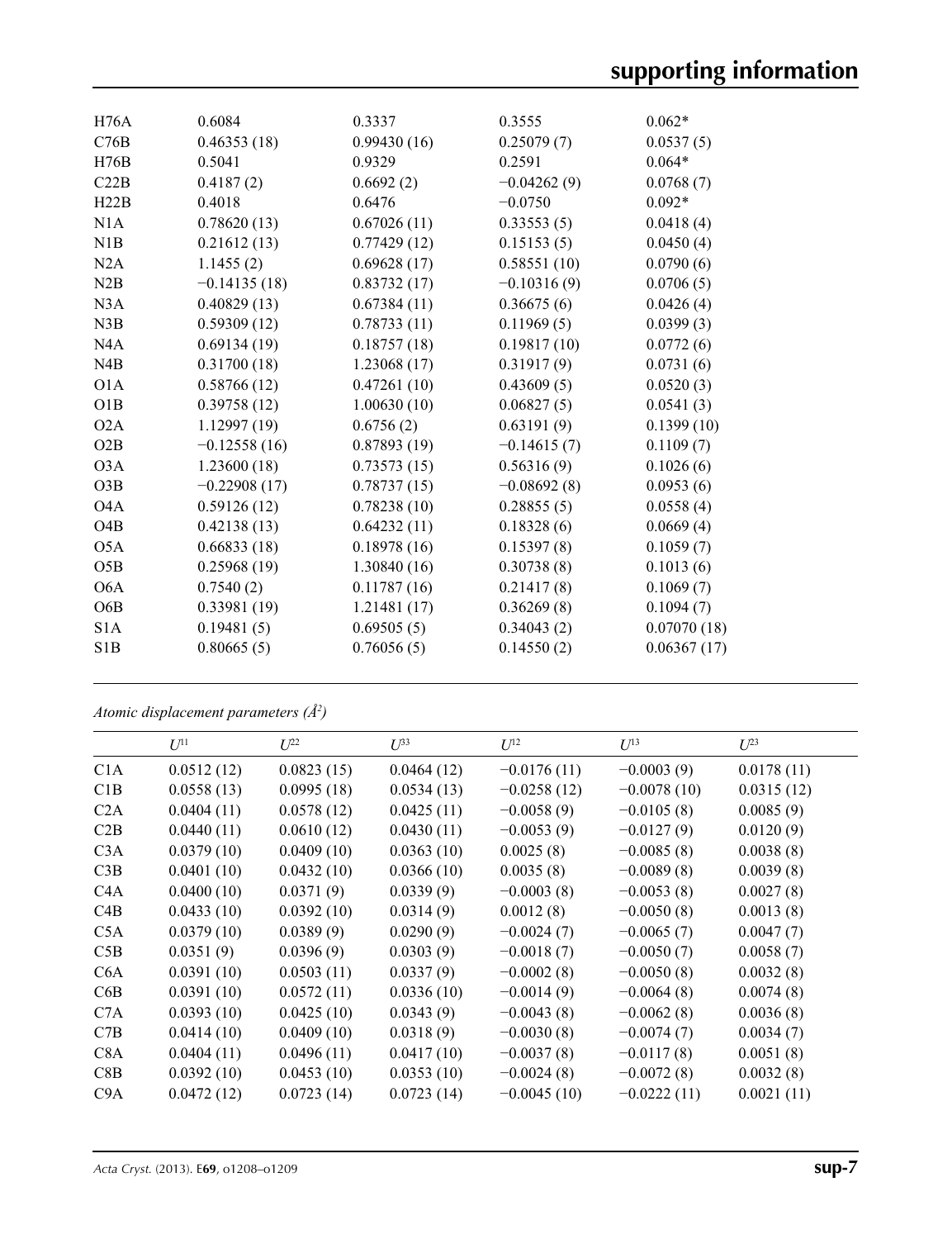| H76A             | 0.6084         | 0.3337      | 0.3555        | $0.062*$    |
|------------------|----------------|-------------|---------------|-------------|
| C76B             | 0.46353(18)    | 0.99430(16) | 0.25079(7)    | 0.0537(5)   |
| H76B             | 0.5041         | 0.9329      | 0.2591        | $0.064*$    |
| C22B             | 0.4187(2)      | 0.6692(2)   | $-0.04262(9)$ | 0.0768(7)   |
| H22B             | 0.4018         | 0.6476      | $-0.0750$     | $0.092*$    |
| N1A              | 0.78620(13)    | 0.67026(11) | 0.33553(5)    | 0.0418(4)   |
| N1B              | 0.21612(13)    | 0.77429(12) | 0.15153(5)    | 0.0450(4)   |
| N2A              | 1.1455(2)      | 0.69628(17) | 0.58551(10)   | 0.0790(6)   |
| N2B              | $-0.14135(18)$ | 0.83732(17) | $-0.10316(9)$ | 0.0706(5)   |
| N3A              | 0.40829(13)    | 0.67384(11) | 0.36675(6)    | 0.0426(4)   |
| N3B              | 0.59309(12)    | 0.78733(11) | 0.11969(5)    | 0.0399(3)   |
| NAA              | 0.69134(19)    | 0.18757(18) | 0.19817(10)   | 0.0772(6)   |
| N <sub>4</sub> B | 0.31700(18)    | 1.23068(17) | 0.31917(9)    | 0.0731(6)   |
| O <sub>1</sub> A | 0.58766(12)    | 0.47261(10) | 0.43609(5)    | 0.0520(3)   |
| O1B              | 0.39758(12)    | 1.00630(10) | 0.06827(5)    | 0.0541(3)   |
| O2A              | 1.12997(19)    | 0.6756(2)   | 0.63191(9)    | 0.1399(10)  |
| O2B              | $-0.12558(16)$ | 0.87893(19) | $-0.14615(7)$ | 0.1109(7)   |
| O <sub>3</sub> A | 1.23600(18)    | 0.73573(15) | 0.56316(9)    | 0.1026(6)   |
| O3B              | $-0.22908(17)$ | 0.78737(15) | $-0.08692(8)$ | 0.0953(6)   |
| O <sub>4</sub> A | 0.59126(12)    | 0.78238(10) | 0.28855(5)    | 0.0558(4)   |
| O <sub>4</sub> B | 0.42138(13)    | 0.64232(11) | 0.18328(6)    | 0.0669(4)   |
| O5A              | 0.66833(18)    | 0.18978(16) | 0.15397(8)    | 0.1059(7)   |
| O5B              | 0.25968(19)    | 1.30840(16) | 0.30738(8)    | 0.1013(6)   |
| O <sub>6</sub> A | 0.7540(2)      | 0.11787(16) | 0.21417(8)    | 0.1069(7)   |
| O <sub>6</sub> B | 0.33981(19)    | 1.21481(17) | 0.36269(8)    | 0.1094(7)   |
| S <sub>1</sub> A | 0.19481(5)     | 0.69505(5)  | 0.34043(2)    | 0.07070(18) |
| S1B              | 0.80665(5)     | 0.76056(5)  | 0.14550(2)    | 0.06367(17) |
|                  |                |             |               |             |

*Atomic displacement parameters (Å2 )*

|                  | $U^{11}$   | $L^{22}$   | $U^{33}$   | $U^{12}$      | $U^{13}$      | $U^{23}$   |
|------------------|------------|------------|------------|---------------|---------------|------------|
| C <sub>1</sub> A | 0.0512(12) | 0.0823(15) | 0.0464(12) | $-0.0176(11)$ | $-0.0003(9)$  | 0.0178(11) |
| C1B              | 0.0558(13) | 0.0995(18) | 0.0534(13) | $-0.0258(12)$ | $-0.0078(10)$ | 0.0315(12) |
| C2A              | 0.0404(11) | 0.0578(12) | 0.0425(11) | $-0.0058(9)$  | $-0.0105(8)$  | 0.0085(9)  |
| C2B              | 0.0440(11) | 0.0610(12) | 0.0430(11) | $-0.0053(9)$  | $-0.0127(9)$  | 0.0120(9)  |
| C3A              | 0.0379(10) | 0.0409(10) | 0.0363(10) | 0.0025(8)     | $-0.0085(8)$  | 0.0038(8)  |
| C3B              | 0.0401(10) | 0.0432(10) | 0.0366(10) | 0.0035(8)     | $-0.0089(8)$  | 0.0039(8)  |
| C <sub>4</sub> A | 0.0400(10) | 0.0371(9)  | 0.0339(9)  | $-0.0003(8)$  | $-0.0053(8)$  | 0.0027(8)  |
| C4B              | 0.0433(10) | 0.0392(10) | 0.0314(9)  | 0.0012(8)     | $-0.0050(8)$  | 0.0013(8)  |
| C5A              | 0.0379(10) | 0.0389(9)  | 0.0290(9)  | $-0.0024(7)$  | $-0.0065(7)$  | 0.0047(7)  |
| C5B              | 0.0351(9)  | 0.0396(9)  | 0.0303(9)  | $-0.0018(7)$  | $-0.0050(7)$  | 0.0058(7)  |
| C <sub>6</sub> A | 0.0391(10) | 0.0503(11) | 0.0337(9)  | $-0.0002(8)$  | $-0.0050(8)$  | 0.0032(8)  |
| C6B              | 0.0391(10) | 0.0572(11) | 0.0336(10) | $-0.0014(9)$  | $-0.0064(8)$  | 0.0074(8)  |
| C <sub>7</sub> A | 0.0393(10) | 0.0425(10) | 0.0343(9)  | $-0.0043(8)$  | $-0.0062(8)$  | 0.0036(8)  |
| C7B              | 0.0414(10) | 0.0409(10) | 0.0318(9)  | $-0.0030(8)$  | $-0.0074(7)$  | 0.0034(7)  |
| C <sub>8</sub> A | 0.0404(11) | 0.0496(11) | 0.0417(10) | $-0.0037(8)$  | $-0.0117(8)$  | 0.0051(8)  |
| C8B              | 0.0392(10) | 0.0453(10) | 0.0353(10) | $-0.0024(8)$  | $-0.0072(8)$  | 0.0032(8)  |
| C9A              | 0.0472(12) | 0.0723(14) | 0.0723(14) | $-0.0045(10)$ | $-0.0222(11)$ | 0.0021(11) |
|                  |            |            |            |               |               |            |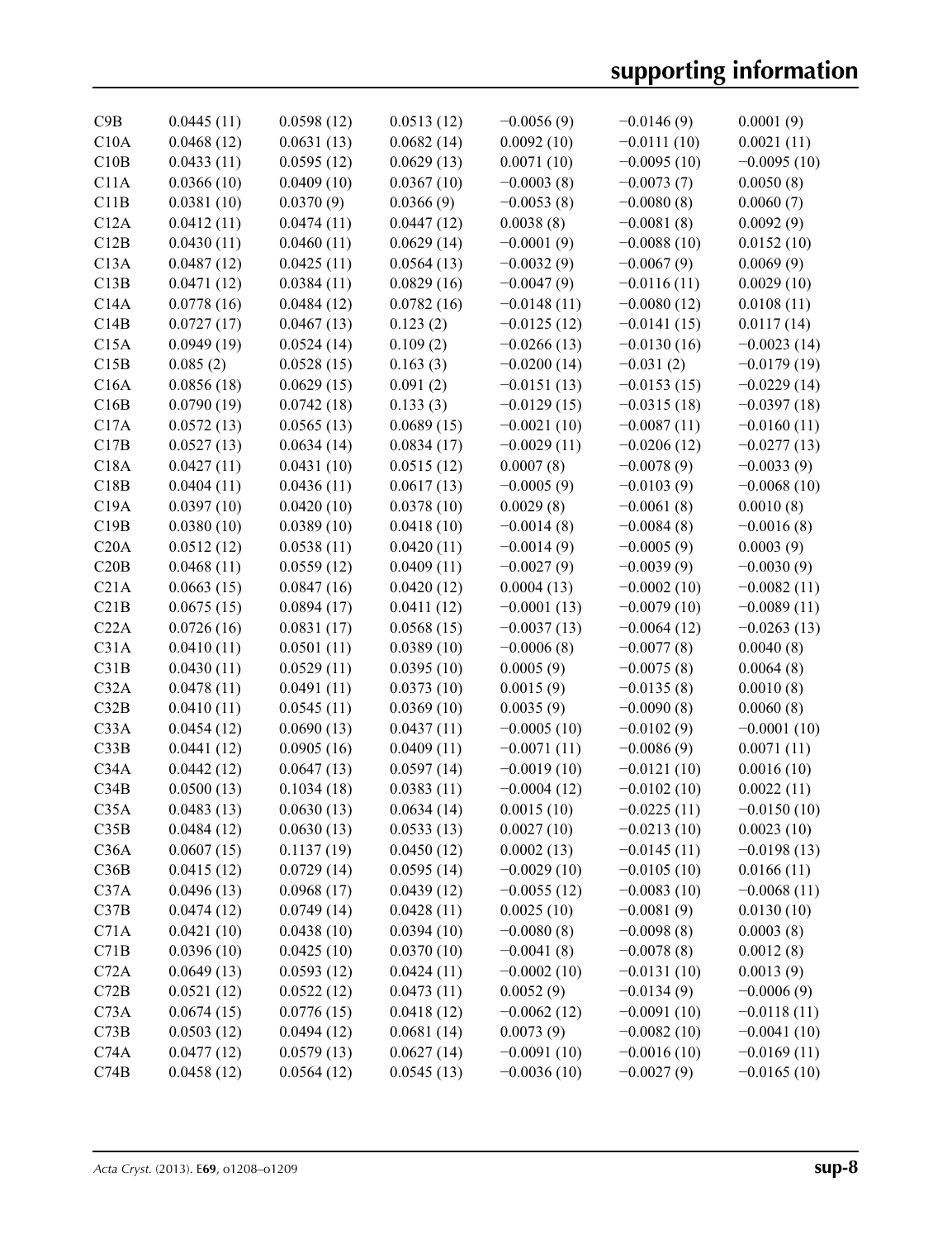| C9B  | 0.0445(11) | 0.0598(12) | 0.0513(12) | $-0.0056(9)$  | $-0.0146(9)$  | 0.0001(9)     |
|------|------------|------------|------------|---------------|---------------|---------------|
| C10A | 0.0468(12) | 0.0631(13) | 0.0682(14) | 0.0092(10)    | $-0.0111(10)$ | 0.0021(11)    |
| C10B | 0.0433(11) | 0.0595(12) | 0.0629(13) | 0.0071(10)    | $-0.0095(10)$ | $-0.0095(10)$ |
| C11A | 0.0366(10) | 0.0409(10) | 0.0367(10) | $-0.0003(8)$  | $-0.0073(7)$  | 0.0050(8)     |
| C11B | 0.0381(10) | 0.0370(9)  | 0.0366(9)  | $-0.0053(8)$  | $-0.0080(8)$  | 0.0060(7)     |
| C12A | 0.0412(11) | 0.0474(11) | 0.0447(12) | 0.0038(8)     | $-0.0081(8)$  | 0.0092(9)     |
| C12B | 0.0430(11) | 0.0460(11) | 0.0629(14) | $-0.0001(9)$  | $-0.0088(10)$ | 0.0152(10)    |
| C13A | 0.0487(12) | 0.0425(11) | 0.0564(13) | $-0.0032(9)$  | $-0.0067(9)$  | 0.0069(9)     |
| C13B | 0.0471(12) | 0.0384(11) | 0.0829(16) | $-0.0047(9)$  | $-0.0116(11)$ | 0.0029(10)    |
| C14A | 0.0778(16) | 0.0484(12) | 0.0782(16) | $-0.0148(11)$ | $-0.0080(12)$ | 0.0108(11)    |
| C14B | 0.0727(17) | 0.0467(13) | 0.123(2)   | $-0.0125(12)$ | $-0.0141(15)$ | 0.0117(14)    |
| C15A | 0.0949(19) | 0.0524(14) | 0.109(2)   | $-0.0266(13)$ | $-0.0130(16)$ | $-0.0023(14)$ |
| C15B | 0.085(2)   | 0.0528(15) | 0.163(3)   | $-0.0200(14)$ | $-0.031(2)$   | $-0.0179(19)$ |
| C16A | 0.0856(18) | 0.0629(15) | 0.091(2)   | $-0.0151(13)$ | $-0.0153(15)$ | $-0.0229(14)$ |
| C16B | 0.0790(19) | 0.0742(18) | 0.133(3)   | $-0.0129(15)$ | $-0.0315(18)$ | $-0.0397(18)$ |
| C17A | 0.0572(13) | 0.0565(13) | 0.0689(15) | $-0.0021(10)$ | $-0.0087(11)$ | $-0.0160(11)$ |
| C17B | 0.0527(13) | 0.0634(14) | 0.0834(17) | $-0.0029(11)$ | $-0.0206(12)$ | $-0.0277(13)$ |
| C18A | 0.0427(11) | 0.0431(10) | 0.0515(12) | 0.0007(8)     | $-0.0078(9)$  | $-0.0033(9)$  |
| C18B | 0.0404(11) | 0.0436(11) | 0.0617(13) | $-0.0005(9)$  | $-0.0103(9)$  | $-0.0068(10)$ |
| C19A | 0.0397(10) | 0.0420(10) | 0.0378(10) | 0.0029(8)     | $-0.0061(8)$  | 0.0010(8)     |
| C19B | 0.0380(10) | 0.0389(10) | 0.0418(10) | $-0.0014(8)$  | $-0.0084(8)$  | $-0.0016(8)$  |
| C20A | 0.0512(12) | 0.0538(11) | 0.0420(11) | $-0.0014(9)$  | $-0.0005(9)$  | 0.0003(9)     |
| C20B | 0.0468(11) | 0.0559(12) | 0.0409(11) | $-0.0027(9)$  | $-0.0039(9)$  | $-0.0030(9)$  |
| C21A | 0.0663(15) | 0.0847(16) | 0.0420(12) | 0.0004(13)    | $-0.0002(10)$ | $-0.0082(11)$ |
| C21B | 0.0675(15) | 0.0894(17) | 0.0411(12) | $-0.0001(13)$ | $-0.0079(10)$ | $-0.0089(11)$ |
| C22A | 0.0726(16) | 0.0831(17) | 0.0568(15) | $-0.0037(13)$ | $-0.0064(12)$ | $-0.0263(13)$ |
| C31A | 0.0410(11) | 0.0501(11) | 0.0389(10) | $-0.0006(8)$  | $-0.0077(8)$  | 0.0040(8)     |
| C31B | 0.0430(11) | 0.0529(11) | 0.0395(10) | 0.0005(9)     | $-0.0075(8)$  | 0.0064(8)     |
| C32A | 0.0478(11) | 0.0491(11) | 0.0373(10) | 0.0015(9)     | $-0.0135(8)$  | 0.0010(8)     |
| C32B | 0.0410(11) | 0.0545(11) | 0.0369(10) | 0.0035(9)     | $-0.0090(8)$  | 0.0060(8)     |
| C33A | 0.0454(12) | 0.0690(13) | 0.0437(11) | $-0.0005(10)$ | $-0.0102(9)$  | $-0.0001(10)$ |
| C33B | 0.0441(12) | 0.0905(16) | 0.0409(11) | $-0.0071(11)$ | $-0.0086(9)$  | 0.0071(11)    |
| C34A | 0.0442(12) | 0.0647(13) | 0.0597(14) | $-0.0019(10)$ | $-0.0121(10)$ | 0.0016(10)    |
| C34B | 0.0500(13) | 0.1034(18) | 0.0383(11) | $-0.0004(12)$ | $-0.0102(10)$ | 0.0022(11)    |
| C35A | 0.0483(13) | 0.0630(13) | 0.0634(14) | 0.0015(10)    | $-0.0225(11)$ | $-0.0150(10)$ |
| C35B | 0.0484(12) | 0.0630(13) | 0.0533(13) | 0.0027(10)    | $-0.0213(10)$ | 0.0023(10)    |
| C36A | 0.0607(15) | 0.1137(19) | 0.0450(12) | 0.0002(13)    | $-0.0145(11)$ | $-0.0198(13)$ |
| C36B | 0.0415(12) | 0.0729(14) | 0.0595(14) | $-0.0029(10)$ | $-0.0105(10)$ | 0.0166(11)    |
| C37A | 0.0496(13) | 0.0968(17) | 0.0439(12) | $-0.0055(12)$ | $-0.0083(10)$ | $-0.0068(11)$ |
| C37B | 0.0474(12) | 0.0749(14) | 0.0428(11) | 0.0025(10)    | $-0.0081(9)$  | 0.0130(10)    |
| C71A | 0.0421(10) | 0.0438(10) | 0.0394(10) | $-0.0080(8)$  | $-0.0098(8)$  | 0.0003(8)     |
| C71B | 0.0396(10) | 0.0425(10) | 0.0370(10) | $-0.0041(8)$  | $-0.0078(8)$  | 0.0012(8)     |
| C72A | 0.0649(13) | 0.0593(12) | 0.0424(11) | $-0.0002(10)$ | $-0.0131(10)$ | 0.0013(9)     |
| C72B | 0.0521(12) | 0.0522(12) | 0.0473(11) | 0.0052(9)     | $-0.0134(9)$  | $-0.0006(9)$  |
| C73A | 0.0674(15) | 0.0776(15) | 0.0418(12) | $-0.0062(12)$ | $-0.0091(10)$ | $-0.0118(11)$ |
| C73B | 0.0503(12) | 0.0494(12) | 0.0681(14) | 0.0073(9)     | $-0.0082(10)$ | $-0.0041(10)$ |
| C74A | 0.0477(12) | 0.0579(13) | 0.0627(14) | $-0.0091(10)$ | $-0.0016(10)$ | $-0.0169(11)$ |
| C74B | 0.0458(12) | 0.0564(12) | 0.0545(13) | $-0.0036(10)$ | $-0.0027(9)$  | $-0.0165(10)$ |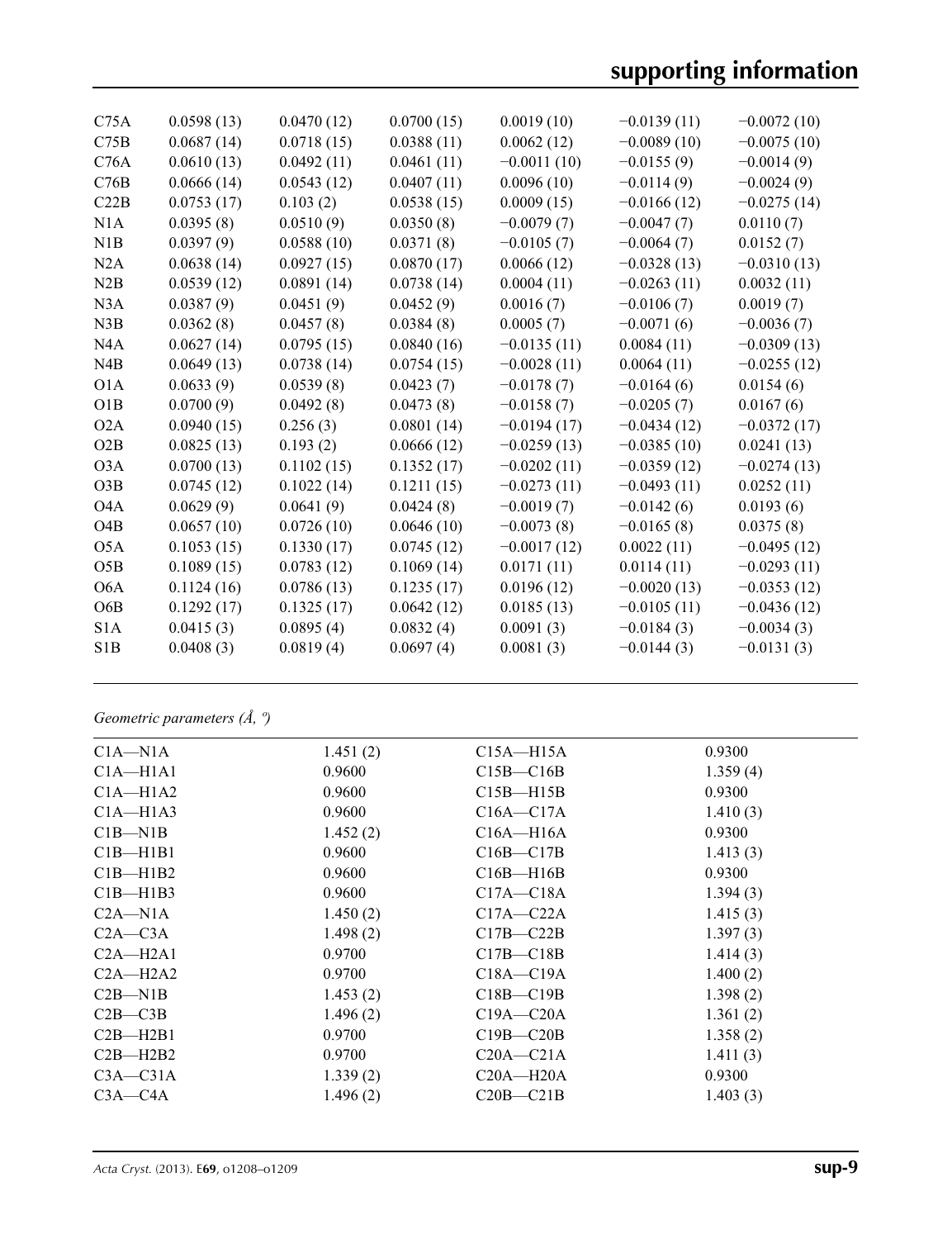| C <sub>75A</sub> | 0.0598(13) | 0.0470(12) | 0.0700(15) | 0.0019(10)    | $-0.0139(11)$ | $-0.0072(10)$ |
|------------------|------------|------------|------------|---------------|---------------|---------------|
| C75B             | 0.0687(14) | 0.0718(15) | 0.0388(11) | 0.0062(12)    | $-0.0089(10)$ | $-0.0075(10)$ |
| C76A             | 0.0610(13) | 0.0492(11) | 0.0461(11) | $-0.0011(10)$ | $-0.0155(9)$  | $-0.0014(9)$  |
| C76B             | 0.0666(14) | 0.0543(12) | 0.0407(11) | 0.0096(10)    | $-0.0114(9)$  | $-0.0024(9)$  |
| C22B             | 0.0753(17) | 0.103(2)   | 0.0538(15) | 0.0009(15)    | $-0.0166(12)$ | $-0.0275(14)$ |
| N1A              | 0.0395(8)  | 0.0510(9)  | 0.0350(8)  | $-0.0079(7)$  | $-0.0047(7)$  | 0.0110(7)     |
| N1B              | 0.0397(9)  | 0.0588(10) | 0.0371(8)  | $-0.0105(7)$  | $-0.0064(7)$  | 0.0152(7)     |
| N2A              | 0.0638(14) | 0.0927(15) | 0.0870(17) | 0.0066(12)    | $-0.0328(13)$ | $-0.0310(13)$ |
| N2B              | 0.0539(12) | 0.0891(14) | 0.0738(14) | 0.0004(11)    | $-0.0263(11)$ | 0.0032(11)    |
| N3A              | 0.0387(9)  | 0.0451(9)  | 0.0452(9)  | 0.0016(7)     | $-0.0106(7)$  | 0.0019(7)     |
| N3B              | 0.0362(8)  | 0.0457(8)  | 0.0384(8)  | 0.0005(7)     | $-0.0071(6)$  | $-0.0036(7)$  |
| N <sub>4</sub> A | 0.0627(14) | 0.0795(15) | 0.0840(16) | $-0.0135(11)$ | 0.0084(11)    | $-0.0309(13)$ |
| N4B              | 0.0649(13) | 0.0738(14) | 0.0754(15) | $-0.0028(11)$ | 0.0064(11)    | $-0.0255(12)$ |
| O <sub>1</sub> A | 0.0633(9)  | 0.0539(8)  | 0.0423(7)  | $-0.0178(7)$  | $-0.0164(6)$  | 0.0154(6)     |
| O1B              | 0.0700(9)  | 0.0492(8)  | 0.0473(8)  | $-0.0158(7)$  | $-0.0205(7)$  | 0.0167(6)     |
| O2A              | 0.0940(15) | 0.256(3)   | 0.0801(14) | $-0.0194(17)$ | $-0.0434(12)$ | $-0.0372(17)$ |
| O2B              | 0.0825(13) | 0.193(2)   | 0.0666(12) | $-0.0259(13)$ | $-0.0385(10)$ | 0.0241(13)    |
| O <sub>3</sub> A | 0.0700(13) | 0.1102(15) | 0.1352(17) | $-0.0202(11)$ | $-0.0359(12)$ | $-0.0274(13)$ |
| O3B              | 0.0745(12) | 0.1022(14) | 0.1211(15) | $-0.0273(11)$ | $-0.0493(11)$ | 0.0252(11)    |
| O <sub>4</sub> A | 0.0629(9)  | 0.0641(9)  | 0.0424(8)  | $-0.0019(7)$  | $-0.0142(6)$  | 0.0193(6)     |
| O4B              | 0.0657(10) | 0.0726(10) | 0.0646(10) | $-0.0073(8)$  | $-0.0165(8)$  | 0.0375(8)     |
| O <sub>5</sub> A | 0.1053(15) | 0.1330(17) | 0.0745(12) | $-0.0017(12)$ | 0.0022(11)    | $-0.0495(12)$ |
| O5B              | 0.1089(15) | 0.0783(12) | 0.1069(14) | 0.0171(11)    | 0.0114(11)    | $-0.0293(11)$ |
| O <sub>6</sub> A | 0.1124(16) | 0.0786(13) | 0.1235(17) | 0.0196(12)    | $-0.0020(13)$ | $-0.0353(12)$ |
| O <sub>6</sub> B | 0.1292(17) | 0.1325(17) | 0.0642(12) | 0.0185(13)    | $-0.0105(11)$ | $-0.0436(12)$ |
| S <sub>1</sub> A | 0.0415(3)  | 0.0895(4)  | 0.0832(4)  | 0.0091(3)     | $-0.0184(3)$  | $-0.0034(3)$  |
| S1B              | 0.0408(3)  | 0.0819(4)  | 0.0697(4)  | 0.0081(3)     | $-0.0144(3)$  | $-0.0131(3)$  |
|                  |            |            |            |               |               |               |

# *Geometric parameters (Å, º)*

| $C1A - N1A$  | 1.451(2) | $C15A - H15A$ | 0.9300   |
|--------------|----------|---------------|----------|
| $C1A - H1A1$ | 0.9600   | $C15B - C16B$ | 1.359(4) |
| $C1A - H1A2$ | 0.9600   | $C15B - H15B$ | 0.9300   |
| $C1A - H1A3$ | 0.9600   | $C16A - C17A$ | 1.410(3) |
| $C1B-M1B$    | 1.452(2) | $C16A - H16A$ | 0.9300   |
| $C1B - H1B1$ | 0.9600   | $C16B - C17B$ | 1.413(3) |
| $C1B - H1B2$ | 0.9600   | $C16B - H16B$ | 0.9300   |
| $C1B - H1B3$ | 0.9600   | $C17A - C18A$ | 1.394(3) |
| $C2A - N1A$  | 1.450(2) | $C17A - C22A$ | 1.415(3) |
| $C2A - C3A$  | 1.498(2) | $C17B - C22B$ | 1.397(3) |
| $C2A - H2A1$ | 0.9700   | $C17B - C18B$ | 1.414(3) |
| $C2A - H2A2$ | 0.9700   | $C18A - C19A$ | 1.400(2) |
| $C2B-M1B$    | 1.453(2) | $C18B - C19B$ | 1.398(2) |
| $C2B - C3B$  | 1.496(2) | $C19A - C20A$ | 1.361(2) |
| $C2B - H2B1$ | 0.9700   | $C19B - C20B$ | 1.358(2) |
| $C2B - H2B2$ | 0.9700   | $C20A - C21A$ | 1.411(3) |
| $C3A - C31A$ | 1.339(2) | $C20A - H20A$ | 0.9300   |
| $C3A - C4A$  | 1.496(2) | $C20B - C21B$ | 1.403(3) |
|              |          |               |          |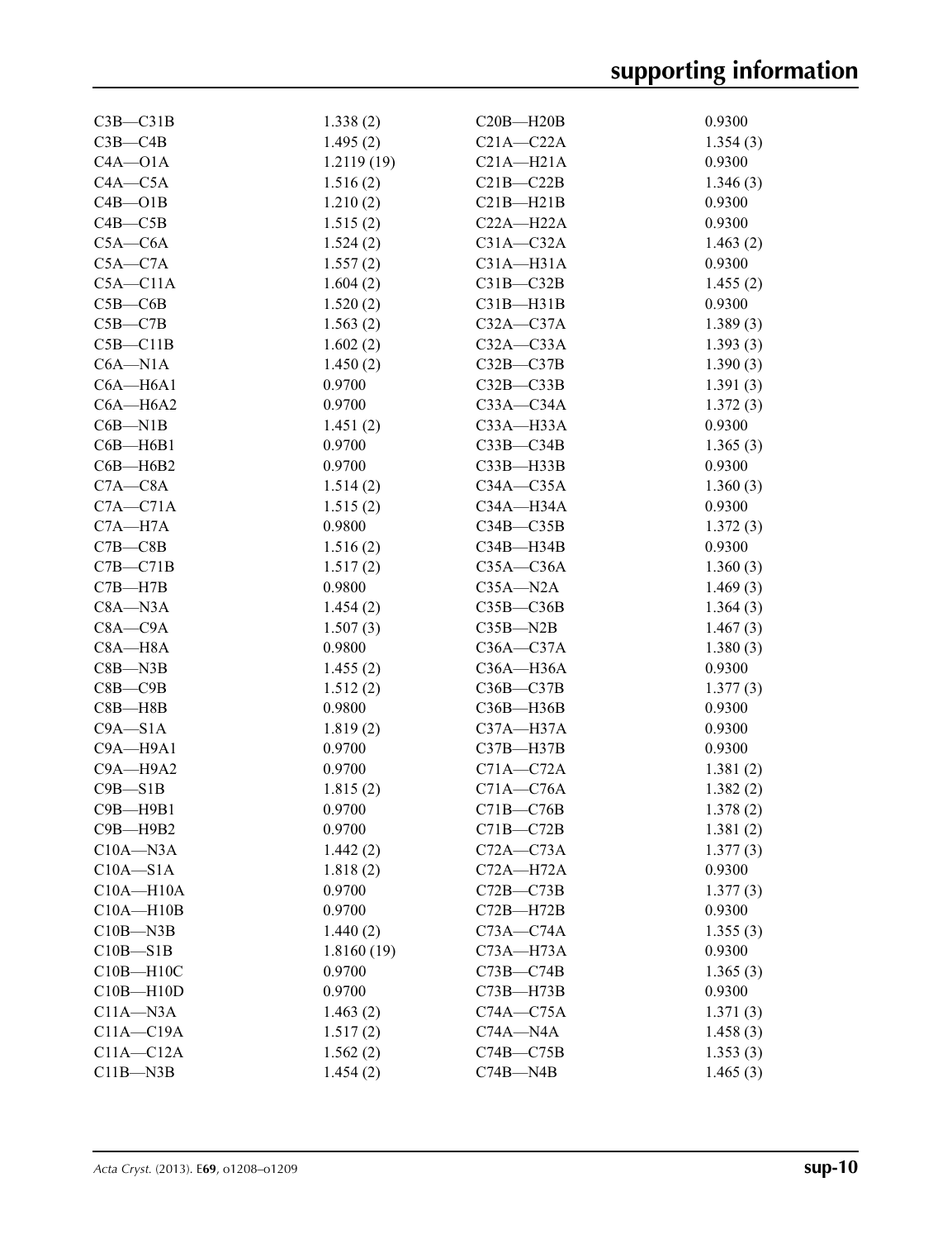| $C3B - C31B$  | 1.338(2)   | $C20B - H20B$                      | 0.9300   |
|---------------|------------|------------------------------------|----------|
| $C3B - C4B$   | 1.495(2)   | $C21A - C22A$                      | 1.354(3) |
| $C4A - O1A$   | 1.2119(19) | $C21A - H21A$                      | 0.9300   |
| $C4A - C5A$   | 1.516(2)   | $C21B - C22B$                      | 1.346(3) |
| $C4B - O1B$   | 1.210(2)   | $C21B - H21B$                      | 0.9300   |
| $C4B - C5B$   | 1.515(2)   | $C22A - H22A$                      | 0.9300   |
| $C5A - C6A$   | 1.524(2)   | $C31A - C32A$                      | 1.463(2) |
| $C5A - C7A$   | 1.557(2)   | $C31A - H31A$                      | 0.9300   |
| $C5A - C11A$  | 1.604(2)   | $C31B - C32B$                      | 1.455(2) |
| $C5B - C6B$   | 1.520(2)   | $C31B-H31B$                        | 0.9300   |
| $C5B - C7B$   | 1.563(2)   | $C32A - C37A$                      | 1.389(3) |
| $C5B - C11B$  | 1.602(2)   | $C32A - C33A$                      | 1.393(3) |
| $C6A - N1A$   | 1.450(2)   | $C32B - C37B$                      | 1.390(3) |
| $C6A - H6A1$  | 0.9700     | $C32B - C33B$                      | 1.391(3) |
| $C6A - H6A2$  | 0.9700     | $C33A - C34A$                      | 1.372(3) |
| $C6B-M1B$     | 1.451(2)   | C33A-H33A                          | 0.9300   |
| $C6B - H6B1$  | 0.9700     | $C33B - C34B$                      | 1.365(3) |
| $C6B - H6B2$  | 0.9700     | $C33B - H33B$                      | 0.9300   |
| $C7A - C8A$   | 1.514(2)   | $C34A - C35A$                      | 1.360(3) |
| $C7A - C71A$  | 1.515(2)   | C34A-H34A                          | 0.9300   |
| $C7A - H7A$   | 0.9800     | $C34B - C35B$                      | 1.372(3) |
| $C7B - C8B$   | 1.516(2)   | $C34B - H34B$                      | 0.9300   |
| $C7B - C71B$  | 1.517(2)   | $C35A - C36A$                      | 1.360(3) |
| $C7B - H7B$   | 0.9800     | $C35A - N2A$                       | 1.469(3) |
| $C8A - N3A$   | 1.454(2)   | $C35B - C36B$                      | 1.364(3) |
| $C8A - C9A$   | 1.507(3)   | $C35B - N2B$                       | 1.467(3) |
| $C8A - H8A$   | 0.9800     | $C36A - C37A$                      | 1.380(3) |
| $C8B$ —N3B    | 1.455(2)   | $C36A - H36A$                      | 0.9300   |
| $C8B - C9B$   | 1.512(2)   | $C36B - C37B$                      | 1.377(3) |
| $C8B - H8B$   | 0.9800     | $C36B$ —H $36B$                    | 0.9300   |
| $C9A - S1A$   | 1.819(2)   | C37A-H37A                          | 0.9300   |
| C9A-H9A1      | 0.9700     | $C37B - H37B$                      | 0.9300   |
| $C9A - H9A2$  | 0.9700     | $C71A - C72A$                      | 1.381(2) |
| $C9B - S1B$   | 1.815(2)   | $C71A - C76A$                      | 1.382(2) |
| C9B-H9B1      | 0.9700     | $C71B - C76B$                      | 1.378(2) |
| $C9B - H9B2$  | 0.9700     | $C71B - C72B$                      | 1.381(2) |
| $C10A - N3A$  | 1.442(2)   | $C72A - C73A$                      | 1.377(3) |
| $C10A - S1A$  | 1.818(2)   | $C72A - H72A$                      | 0.9300   |
| $C10A - H10A$ | 0.9700     | $C72B - C73B$                      | 1.377(3) |
| $C10A - H10B$ | 0.9700     | $C72B - H72B$                      | 0.9300   |
| $C10B - N3B$  | 1.440(2)   | $C73A - C74A$                      | 1.355(3) |
| $C10B - S1B$  | 1.8160(19) | C <sub>73A</sub> —H <sub>73A</sub> | 0.9300   |
| $C10B - H10C$ | 0.9700     |                                    | 1.365(3) |
| $C10B - H10D$ | 0.9700     | $C73B - C74B$<br>$C73B - H73B$     | 0.9300   |
| $C11A - N3A$  |            | $C74A - C75A$                      |          |
|               | 1.463(2)   | $C74A - N4A$                       | 1.371(3) |
| $C11A - C19A$ | 1.517(2)   |                                    | 1.458(3) |
| $C11A - C12A$ | 1.562(2)   | $C74B - C75B$                      | 1.353(3) |
| $C11B - N3B$  | 1.454(2)   | $C74B - N4B$                       | 1.465(3) |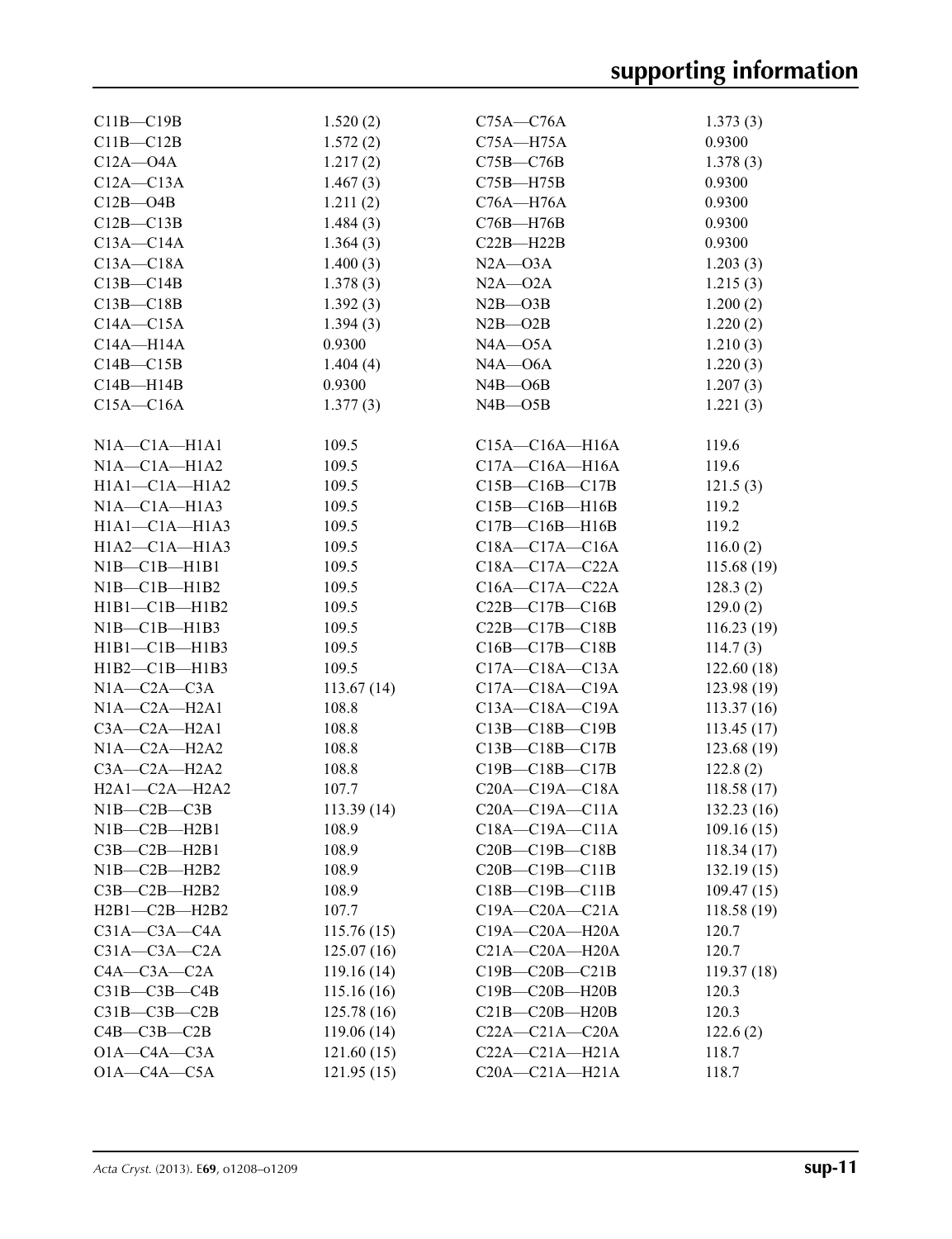| $C11B - C19B$          | 1.520(2)   | $C75A - C76A$        | 1.373(3)    |
|------------------------|------------|----------------------|-------------|
| $C11B - C12B$          | 1.572(2)   | $C75A - H75A$        | 0.9300      |
| $C12A - O4A$           | 1.217(2)   | $C75B - C76B$        | 1.378(3)    |
| $C12A - C13A$          | 1.467(3)   | $C75B - H75B$        | 0.9300      |
| $C12B - O4B$           | 1.211(2)   | $C76A - H76A$        | 0.9300      |
| $C12B - C13B$          | 1.484(3)   | $C76B - H76B$        | 0.9300      |
| $C13A - C14A$          | 1.364(3)   | $C22B - H22B$        | 0.9300      |
| $C13A - C18A$          | 1.400(3)   | $N2A - O3A$          | 1.203(3)    |
| $C13B - C14B$          | 1.378(3)   | $N2A - 02A$          | 1.215(3)    |
| $C13B - C18B$          | 1.392(3)   | $N2B - O3B$          | 1.200(2)    |
| $C14A - C15A$          |            |                      |             |
|                        | 1.394(3)   | $N2B - O2B$          | 1.220(2)    |
| $C14A - H14A$          | 0.9300     | $NAA - O5A$          | 1.210(3)    |
| $C14B - C15B$          | 1.404(4)   | $NAA - O6A$          | 1.220(3)    |
| $C14B - H14B$          | 0.9300     | $N4B$ — $O6B$        | 1.207(3)    |
| $C15A - C16A$          | 1.377(3)   | $N4B$ — $O5B$        | 1.221(3)    |
| $NIA$ - $C1A$ - $H1A1$ | 109.5      | $C15A - C16A - H16A$ | 119.6       |
| $NIA$ - $CIA$ - $HIA2$ | 109.5      | $C17A - C16A - H16A$ | 119.6       |
| $H1A1 - C1A - H1A2$    | 109.5      | $C15B - C16B - C17B$ | 121.5(3)    |
| $NIA - CIA - H1A3$     | 109.5      | $C15B - C16B - H16B$ | 119.2       |
| $H1A1 - C1A - H1A3$    | 109.5      | $C17B - C16B - H16B$ | 119.2       |
| $H1A2-C1A-H1A3$        | 109.5      | $C18A - C17A - C16A$ | 116.0(2)    |
| NIB—C1B—H1B1           | 109.5      | $C18A - C17A - C22A$ | 115.68(19)  |
| NIB—C1B—H1B2           | 109.5      | $C16A - C17A - C22A$ | 128.3(2)    |
| $H1B1 - C1B - H1B2$    | 109.5      | $C22B - C17B - C16B$ | 129.0(2)    |
| NIB—C1B—H1B3           | 109.5      | $C22B - C17B - C18B$ | 116.23(19)  |
|                        |            |                      |             |
| $H1B1 - C1B - H1B3$    | 109.5      | $C16B - C17B - C18B$ | 114.7(3)    |
| $H1B2-C1B-H1B3$        | 109.5      | $C17A - C18A - C13A$ | 122.60(18)  |
| $N1A-C2A-C3A$          | 113.67(14) | $C17A - C18A - C19A$ | 123.98(19)  |
| $NIA-C2A-H2A1$         | 108.8      | $C13A - C18A - C19A$ | 113.37(16)  |
| $C3A - C2A - H2A1$     | 108.8      | $C13B - C18B - C19B$ | 113.45(17)  |
| $N1A - C2A - H2A2$     | 108.8      | C13B-C18B-C17B       | 123.68 (19) |
| $C3A - C2A - H2A2$     | 108.8      | C19B-C18B-C17B       | 122.8(2)    |
| $H2A1-C2A-H2A2$        | 107.7      | $C20A - C19A - C18A$ | 118.58(17)  |
| $N1B-C2B-C3B$          | 113.39(14) | $C20A - C19A - C11A$ | 132.23(16)  |
| $N1B-C2B-H2B1$         | 108.9      | $C18A - C19A - C11A$ | 109.16(15)  |
| $C3B - C2B - H2B1$     | 108.9      | $C20B - C19B - C18B$ | 118.34(17)  |
| $NIB-C2B-H2B2$         | 108.9      | $C20B - C19B - C11B$ | 132.19(15)  |
| $C3B - C2B - H2B2$     | 108.9      | $C18B - C19B - C11B$ | 109.47(15)  |
| $H2B1-C2B-H2B2$        | 107.7      | $C19A - C20A - C21A$ | 118.58(19)  |
| $C31A - C3A - C4A$     | 115.76(15) | C19A-C20A-H20A       | 120.7       |
| $C31A - C3A - C2A$     | 125.07(16) | $C21A - C20A - H20A$ | 120.7       |
| $C4A - C3A - C2A$      | 119.16(14) | $C19B - C20B - C21B$ | 119.37(18)  |
| $C31B - C3B - C4B$     | 115.16(16) | C19B-C20B-H20B       | 120.3       |
| $C31B-C3B-C2B$         | 125.78(16) | $C21B-C20B-H20B$     | 120.3       |
| $C4B - C3B - C2B$      | 119.06(14) | $C22A - C21A - C20A$ | 122.6(2)    |
| $O1A - C4A - C3A$      | 121.60(15) | $C22A - C21A - H21A$ | 118.7       |
| $O1A - C4A - C5A$      | 121.95(15) | $C20A - C21A - H21A$ | 118.7       |
|                        |            |                      |             |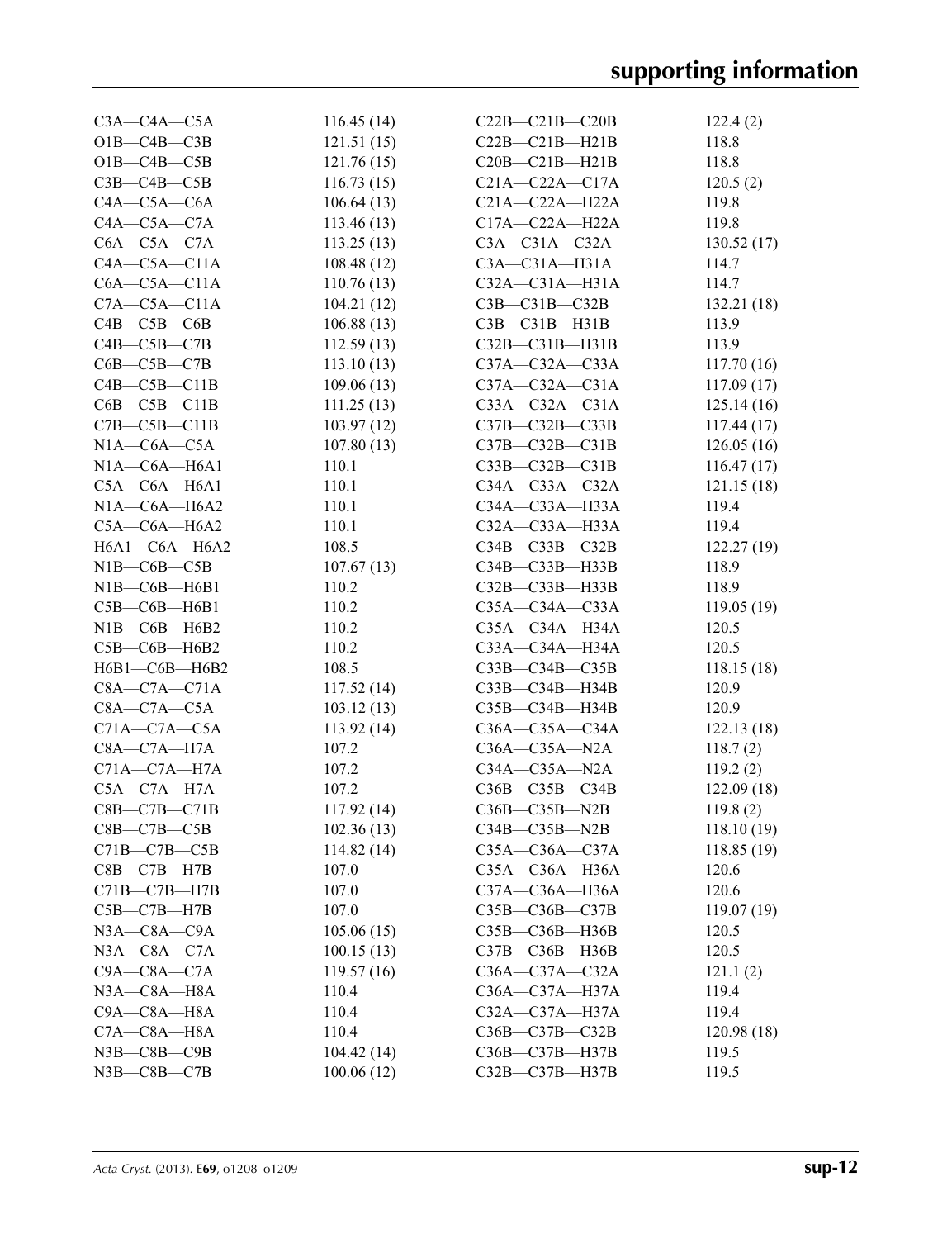| $C3A - C4A - C5A$     | 116.45(14) | $C22B - C21B - C20B$ | 122.4(2)    |
|-----------------------|------------|----------------------|-------------|
| $O1B - C4B - C3B$     | 121.51(15) | $C22B - C21B - H21B$ | 118.8       |
| $O1B - C4B - C5B$     | 121.76(15) | $C20B - C21B - H21B$ | 118.8       |
| $C3B - C4B - C5B$     | 116.73(15) | $C21A - C22A - C17A$ | 120.5(2)    |
| $C4A - C5A - C6A$     | 106.64(13) | $C21A - C22A - H22A$ | 119.8       |
| $C4A - C5A - C7A$     | 113.46(13) | C17A-C22A-H22A       | 119.8       |
| $C6A - C5A - C7A$     | 113.25(13) | $C3A - C31A - C32A$  | 130.52(17)  |
| $C4A - C5A - C11A$    | 108.48(12) | $C3A - C31A - H31A$  | 114.7       |
| $C6A - C5A - C11A$    | 110.76(13) | $C32A - C31A - H31A$ | 114.7       |
| $C7A - C5A - C11A$    | 104.21(12) | $C3B - C31B - C32B$  | 132.21 (18) |
| $C4B - C5B - C6B$     | 106.88(13) | $C3B - C31B - H31B$  | 113.9       |
| $C4B - C5B - C7B$     | 112.59(13) | $C32B - C31B - H31B$ | 113.9       |
| $C6B - C5B - C7B$     | 113.10(13) | $C37A - C32A - C33A$ | 117.70(16)  |
| $C4B - C5B - C11B$    | 109.06(13) | $C37A - C32A - C31A$ | 117.09(17)  |
| $C6B - C5B - C11B$    | 111.25(13) | $C33A - C32A - C31A$ | 125.14(16)  |
| $C7B - C5B - C11B$    | 103.97(12) | C37B-C32B-C33B       | 117.44(17)  |
| $N1A-C6A-C5A$         | 107.80(13) | $C37B - C32B - C31B$ | 126.05(16)  |
| $N1A - C6A - H6A1$    | 110.1      | C33B-C32B-C31B       | 116.47(17)  |
| $C5A - C6A - H6A1$    | 110.1      | $C34A - C33A - C32A$ | 121.15(18)  |
| $N1A - C6A - H6A2$    | 110.1      | C34A-C33A-H33A       | 119.4       |
| $C5A - C6A - H6A2$    | 110.1      | C32A-C33A-H33A       | 119.4       |
| H6A1-C6A-H6A2         | 108.5      | $C34B - C33B - C32B$ | 122.27(19)  |
| $N1B - C6B - C5B$     | 107.67(13) | $C34B - C33B - H33B$ | 118.9       |
| NIB—C6B—H6B1          | 110.2      | C32B-C33B-H33B       | 118.9       |
| $C5B - C6B - H6B1$    | 110.2      | C35A-C34A-C33A       | 119.05(19)  |
| NIB—C6B—H6B2          | 110.2      | $C35A - C34A - H34A$ | 120.5       |
| $C5B - C6B - H6B2$    | 110.2      | C33A-C34A-H34A       | 120.5       |
| H6B1-C6B-H6B2         | 108.5      | $C33B - C34B - C35B$ | 118.15(18)  |
| $C8A - C7A - C71A$    | 117.52(14) | C33B-C34B-H34B       | 120.9       |
| $C8A - C7A - C5A$     | 103.12(13) | $C35B - C34B - H34B$ | 120.9       |
| $C71A - C7A - C5A$    | 113.92(14) | $C36A - C35A - C34A$ | 122.13(18)  |
| $C8A - C7A - H7A$     | 107.2      | $C36A - C35A - N2A$  | 118.7(2)    |
| $C71A - C7A - H7A$    | 107.2      | $C34A - C35A - N2A$  | 119.2(2)    |
| $C5A - C7A - H7A$     | 107.2      | C36B-C35B-C34B       | 122.09(18)  |
| $C8B - C7B - C71B$    | 117.92(14) | $C36B - C35B - N2B$  | 119.8(2)    |
| $C8B - C7B - C5B$     | 102.36(13) | $C34B - C35B - N2B$  | 118.10(19)  |
| $C71B - C7B - C5B$    | 114.82(14) | C35A-C36A-C37A       | 118.85 (19) |
| $C8B - C7B - H7B$     | 107.0      | C35A-C36A-H36A       | 120.6       |
| $C71B - C7B - H7B$    | 107.0      | C37A-C36A-H36A       | 120.6       |
| $C5B - C7B - H7B$     | 107.0      | C35B-C36B-C37B       | 119.07 (19) |
| $N3A - C8A - C9A$     | 105.06(15) | C35B-C36B-H36B       | 120.5       |
| $N3A - C8A - C7A$     | 100.15(13) | C37B-C36B-H36B       | 120.5       |
| $C9A - C8A - C7A$     | 119.57(16) | C36A-C37A-C32A       | 121.1(2)    |
| N3A-C8A-H8A           | 110.4      | C36A-C37A-H37A       | 119.4       |
| C9A-C8A-H8A           | 110.4      | C32A-C37A-H37A       | 119.4       |
| $C7A - C8A - H8A$     | 110.4      | C36B-C37B-C32B       | 120.98 (18) |
| $N3B$ - $C8B$ - $C9B$ | 104.42(14) |                      | 119.5       |
|                       |            | C36B-C37B-H37B       |             |
| $N3B$ - $C8B$ - $C7B$ | 100.06(12) | C32B-C37B-H37B       | 119.5       |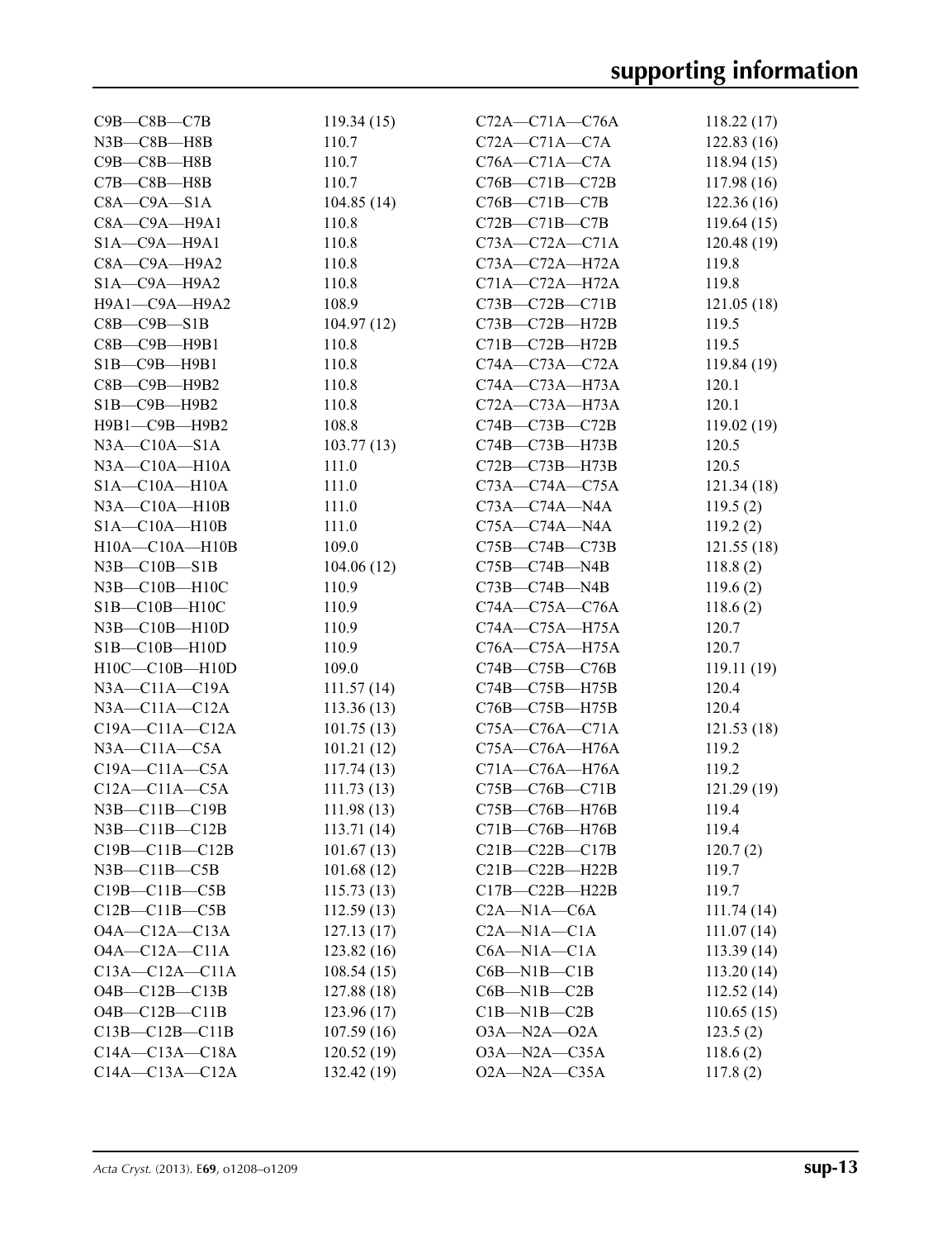| $C9B - C8B - C7B$       | 119.34(15)  | $C72A - C71A - C76A$ | 118.22(17)  |
|-------------------------|-------------|----------------------|-------------|
| $N3B - C8B - H8B$       | 110.7       | $C72A - C71A - C7A$  | 122.83(16)  |
| C9B-C8B-H8B             | 110.7       | $C76A - C71A - C7A$  | 118.94(15)  |
| $C7B - C8B - H8B$       | 110.7       | C76B-C71B-C72B       | 117.98(16)  |
| $C8A - C9A - S1A$       | 104.85(14)  | C76B-C71B-C7B        | 122.36(16)  |
| C8A-C9A-H9A1            | 110.8       | $C72B - C71B - C7B$  | 119.64(15)  |
| $SIA$ — $C9A$ —H $9A1$  | 110.8       | $C73A - C72A - C71A$ | 120.48(19)  |
| $C8A - C9A - H9A2$      | 110.8       | C73A-C72A-H72A       | 119.8       |
| $SIA$ — $C9A$ — $H9A2$  | 110.8       | $C71A - C72A - H72A$ | 119.8       |
| Н9А1-С9А-Н9А2           | 108.9       | $C73B - C72B - C71B$ | 121.05(18)  |
| $C8B - C9B - S1B$       | 104.97(12)  | C73B-C72B-H72B       | 119.5       |
| $C8B - C9B - H9B1$      | 110.8       | C71B-C72B-H72B       | 119.5       |
| $S1B$ — $C9B$ —H $9B1$  | 110.8       | $C74A - C73A - C72A$ | 119.84 (19) |
| С8В-С9В-Н9В2            | 110.8       | C74A-C73A-H73A       | 120.1       |
| $SIB$ — $C9B$ — $H9B2$  | 110.8       | C72A-C73A-H73A       | 120.1       |
| Н9В1-С9В-Н9В2           | 108.8       | C74B-C73B-C72B       | 119.02(19)  |
| $N3A - C10A - S1A$      | 103.77(13)  | C74B-C73B-H73B       | 120.5       |
| $N3A - C10A - H10A$     | 111.0       | C72B-C73B-H73B       | 120.5       |
| $SIA - Cl0A - H10A$     | 111.0       | $C73A - C74A - C75A$ | 121.34(18)  |
| $N3A - C10A - H10B$     | 111.0       | $C73A - C74A - N4A$  | 119.5(2)    |
| $SIA - Cl0A - H10B$     | 111.0       | $C75A - C74A - N4A$  | 119.2(2)    |
| H10A-C10A-H10B          | 109.0       | C75B-C74B-C73B       | 121.55(18)  |
| $N3B - C10B - S1B$      | 104.06(12)  | $C75B - C74B - N4B$  | 118.8(2)    |
| $N3B - C10B - H10C$     | 110.9       | $C73B - C74B - N4B$  | 119.6(2)    |
| $SIB - C10B - H10C$     | 110.9       | $C74A - C75A - C76A$ | 118.6(2)    |
| $N3B - C10B - H10D$     | 110.9       | C74A-C75A-H75A       | 120.7       |
| $SIB - C10B - H10D$     | 110.9       | $C76A - C75A - H75A$ | 120.7       |
| $H10C-C10B-H10D$        | 109.0       | C74B-C75B-C76B       | 119.11(19)  |
| $N3A - C11A - C19A$     | 111.57(14)  | C74B-C75B-H75B       | 120.4       |
| $N3A - C11A - C12A$     | 113.36(13)  | C76B-C75B-H75B       | 120.4       |
| $C19A - C11A - C12A$    | 101.75(13)  | $C75A - C76A - C71A$ | 121.53(18)  |
| $N3A - C11A - C5A$      | 101.21(12)  | C75A-C76A-H76A       | 119.2       |
| $C19A - C11A - C5A$     | 117.74(13)  | C71A-C76A-H76A       | 119.2       |
| $C12A - C11A - C5A$     | 111.73(13)  | C75B-C76B-C71B       | 121.29(19)  |
| N3B-C11B-C19B           | 111.98(13)  | C75B-C76B-H76B       | 119.4       |
| $N3B$ — $C11B$ — $C12B$ | 113.71 (14) | $C71B-C76B-H76B$     | 119.4       |
| $C19B - C11B - C12B$    | 101.67(13)  | $C21B-C22B-C17B$     | 120.7(2)    |
| $N3B - C11B - C5B$      | 101.68(12)  | C21B-C22B-H22B       | 119.7       |
| $C19B - C11B - C5B$     | 115.73(13)  | C17B-C22B-H22B       | 119.7       |
| $C12B - C11B - C5B$     | 112.59(13)  | $C2A-M1A-C6A$        | 111.74(14)  |
| $O4A - C12A - C13A$     | 127.13(17)  | $C2A-M1A-C1A$        | 111.07(14)  |
| $O4A - C12A - C11A$     | 123.82(16)  | $C6A - N1A - C1A$    | 113.39(14)  |
| $C13A - C12A - C11A$    | 108.54(15)  | $C6B-M1B-C1B$        | 113.20(14)  |
| $O4B - C12B - C13B$     | 127.88(18)  | $C6B-M1B-C2B$        | 112.52(14)  |
| $O4B - C12B - C11B$     | 123.96(17)  | $C1B-M1B-C2B$        | 110.65(15)  |
| $C13B - C12B - C11B$    | 107.59(16)  | $O3A - N2A - O2A$    | 123.5(2)    |
| $C14A - C13A - C18A$    | 120.52(19)  | O3A-N2A-C35A         | 118.6(2)    |
| $C14A - C13A - C12A$    | 132.42 (19) | $O2A - N2A - C35A$   | 117.8(2)    |
|                         |             |                      |             |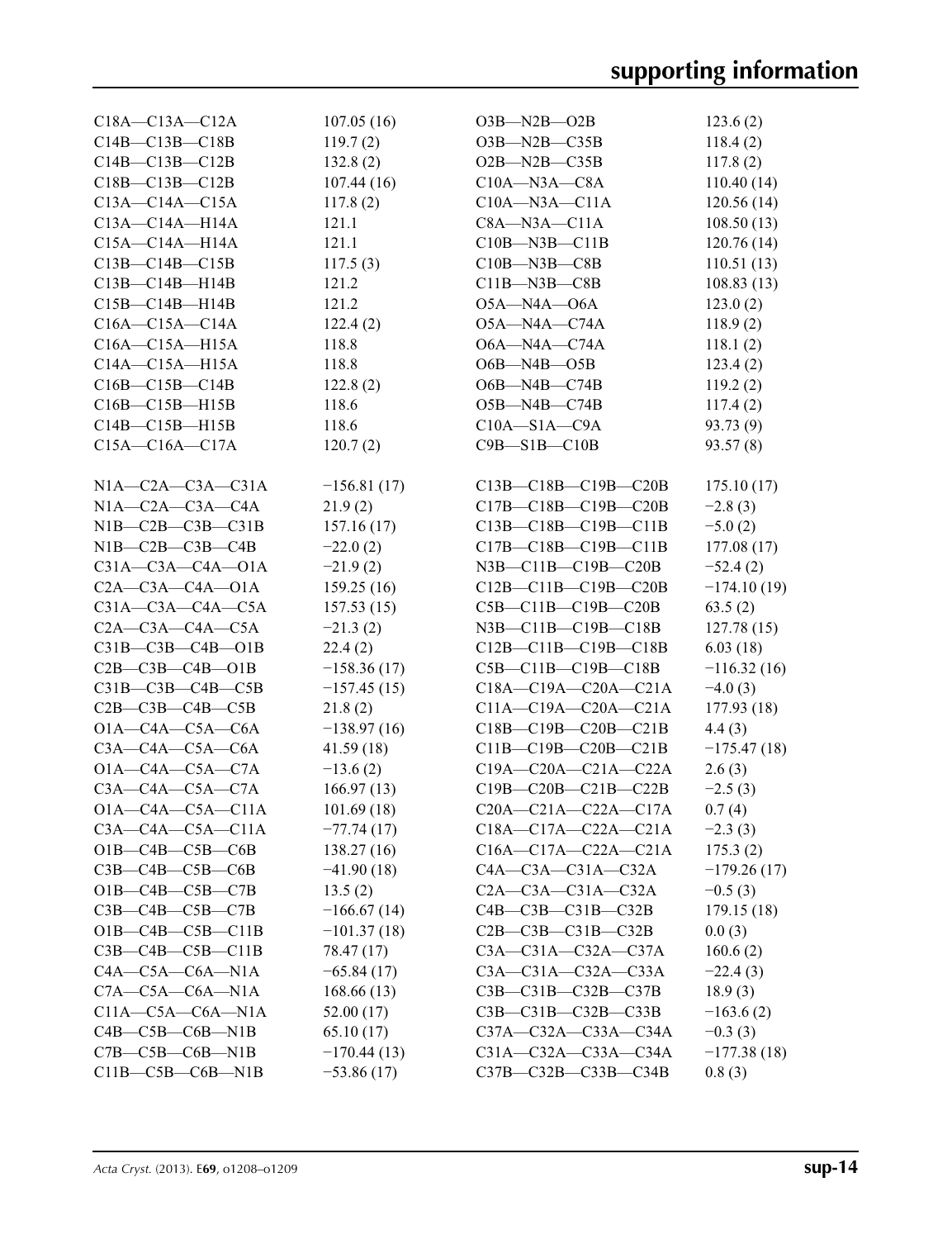| $C18A - C13A - C12A$          | 107.05(16)    | $O3B-M2B-O2B$                    | 123.6(2)      |
|-------------------------------|---------------|----------------------------------|---------------|
| $C14B - C13B - C18B$          | 119.7(2)      | $O3B-M2B-C35B$                   | 118.4(2)      |
| $C14B - C13B - C12B$          | 132.8(2)      | $O2B - N2B - C35B$               | 117.8(2)      |
| $C18B - C13B - C12B$          | 107.44(16)    | $C10A - N3A - C8A$               | 110.40(14)    |
| $C13A - C14A - C15A$          | 117.8(2)      | $C10A - N3A - C11A$              | 120.56(14)    |
| $C13A - C14A - H14A$          | 121.1         | $C8A - N3A - C11A$               | 108.50(13)    |
| $C15A - C14A - H14A$          | 121.1         | $C10B$ —N3B—C11B                 | 120.76(14)    |
| $C13B - C14B - C15B$          | 117.5(3)      | $C10B - N3B - C8B$               | 110.51(13)    |
| $C13B - C14B - H14B$          | 121.2         | $C11B - N3B - C8B$               | 108.83(13)    |
| $C15B - C14B - H14B$          | 121.2         | $O5A - N4A - O6A$                | 123.0(2)      |
| $C16A - C15A - C14A$          | 122.4(2)      | $O5A - N4A - C74A$               | 118.9(2)      |
| $C16A - C15A - H15A$          | 118.8         | O6A-N4A-C74A                     | 118.1(2)      |
| $C14A - C15A - H15A$          | 118.8         | $O6B - N4B - O5B$                | 123.4(2)      |
| $C16B - C15B - C14B$          | 122.8(2)      | $O6B$ —N4B—C74B                  | 119.2(2)      |
| $C16B - C15B - H15B$          | 118.6         | $O5B-M4B-C74B$                   | 117.4(2)      |
| $C14B - C15B - H15B$          | 118.6         | $C10A - S1A - C9A$               | 93.73 (9)     |
|                               |               |                                  |               |
| $C15A - C16A - C17A$          | 120.7(2)      | $C9B - S1B - C10B$               | 93.57(8)      |
| $N1A - C2A - C3A - C31A$      | $-156.81(17)$ | C13B-C18B-C19B-C20B              | 175.10(17)    |
| $N1A - C2A - C3A - C4A$       | 21.9(2)       | C17B-C18B-C19B-C20B              | $-2.8(3)$     |
| $N1B-C2B-C3B-C31B$            | 157.16(17)    | C13B-C18B-C19B-C11B              | $-5.0(2)$     |
| $N1B-C2B-C3B-C4B$             | $-22.0(2)$    | C17B-C18B-C19B-C11B              | 177.08(17)    |
| $C31A - C3A - C4A - O1A$      | $-21.9(2)$    | $N3B$ — $C11B$ — $C19B$ — $C20B$ | $-52.4(2)$    |
| $C2A - C3A - C4A - O1A$       | 159.25(16)    | $C12B - C11B - C19B - C20B$      | $-174.10(19)$ |
| $C31A - C3A - C4A - C5A$      | 157.53(15)    | $C5B - C11B - C19B - C20B$       | 63.5(2)       |
| $C2A - C3A - C4A - C5A$       | $-21.3(2)$    | $N3B - C11B - C19B - C18B$       | 127.78(15)    |
| $C31B - C3B - C4B - O1B$      | 22.4(2)       | $C12B - C11B - C19B - C18B$      | 6.03(18)      |
| $C2B - C3B - C4B - O1B$       | $-158.36(17)$ | $C5B - C11B - C19B - C18B$       | $-116.32(16)$ |
| $C31B - C3B - C4B - C5B$      | $-157.45(15)$ | $C18A - C19A - C20A - C21A$      | $-4.0(3)$     |
| $C2B$ — $C3B$ — $C4B$ — $C5B$ | 21.8(2)       | $C11A-C19A-C20A-C21A$            | 177.93 (18)   |
| $O1A - C4A - C5A - C6A$       | $-138.97(16)$ | C18B-C19B-C20B-C21B              | 4.4(3)        |
| $C3A - C4A - C5A - C6A$       |               | $C11B - C19B - C20B - C21B$      | $-175.47(18)$ |
| $O1A - C4A - C5A - C7A$       | 41.59(18)     | C19A-C20A-C21A-C22A              | 2.6(3)        |
| $C3A - C4A - C5A - C7A$       | $-13.6(2)$    |                                  |               |
| $O1A - C4A - C5A - C11A$      | 166.97(13)    | $C19B - C20B - C21B - C22B$      | $-2.5(3)$     |
|                               | 101.69(18)    | $C20A - C21A - C22A - C17A$      | 0.7(4)        |
| $C3A - C4A - C5A - C11A$      | $-77.74(17)$  | $C18A - C17A - C22A - C21A$      | $-2.3(3)$     |
| $O1B - C4B - C5B - C6B$       | 138.27(16)    | $C16A - C17A - C22A - C21A$      | 175.3(2)      |
| $C3B - C4B - C5B - C6B$       | $-41.90(18)$  | $C4A - C3A - C31A - C32A$        | $-179.26(17)$ |
| $O1B - C4B - C5B - C7B$       | 13.5(2)       | $C2A - C3A - C31A - C32A$        | $-0.5(3)$     |
| $C3B - C4B - C5B - C7B$       | $-166.67(14)$ | $C4B - C3B - C31B - C32B$        | 179.15(18)    |
| $O1B - C4B - C5B - C11B$      | $-101.37(18)$ | $C2B - C3B - C31B - C32B$        | 0.0(3)        |
| $C3B - C4B - C5B - C11B$      | 78.47 (17)    | $C3A - C31A - C32A - C37A$       | 160.6(2)      |
| $C4A - C5A - C6A - N1A$       | $-65.84(17)$  | $C3A - C31A - C32A - C33A$       | $-22.4(3)$    |
| $C7A - C5A - C6A - N1A$       | 168.66(13)    | C3B-C31B-C32B-C37B               | 18.9(3)       |
| $C11A - C5A - C6A - N1A$      | 52.00(17)     | $C3B - C31B - C32B - C33B$       | $-163.6(2)$   |
| $C4B - C5B - C6B - N1B$       | 65.10(17)     | C37A-C32A-C33A-C34A              | $-0.3(3)$     |
| $C7B - C5B - C6B - N1B$       | $-170.44(13)$ | $C31A - C32A - C33A - C34A$      | $-177.38(18)$ |
| $C11B - C5B - C6B - N1B$      | $-53.86(17)$  | C37B-C32B-C33B-C34B              | 0.8(3)        |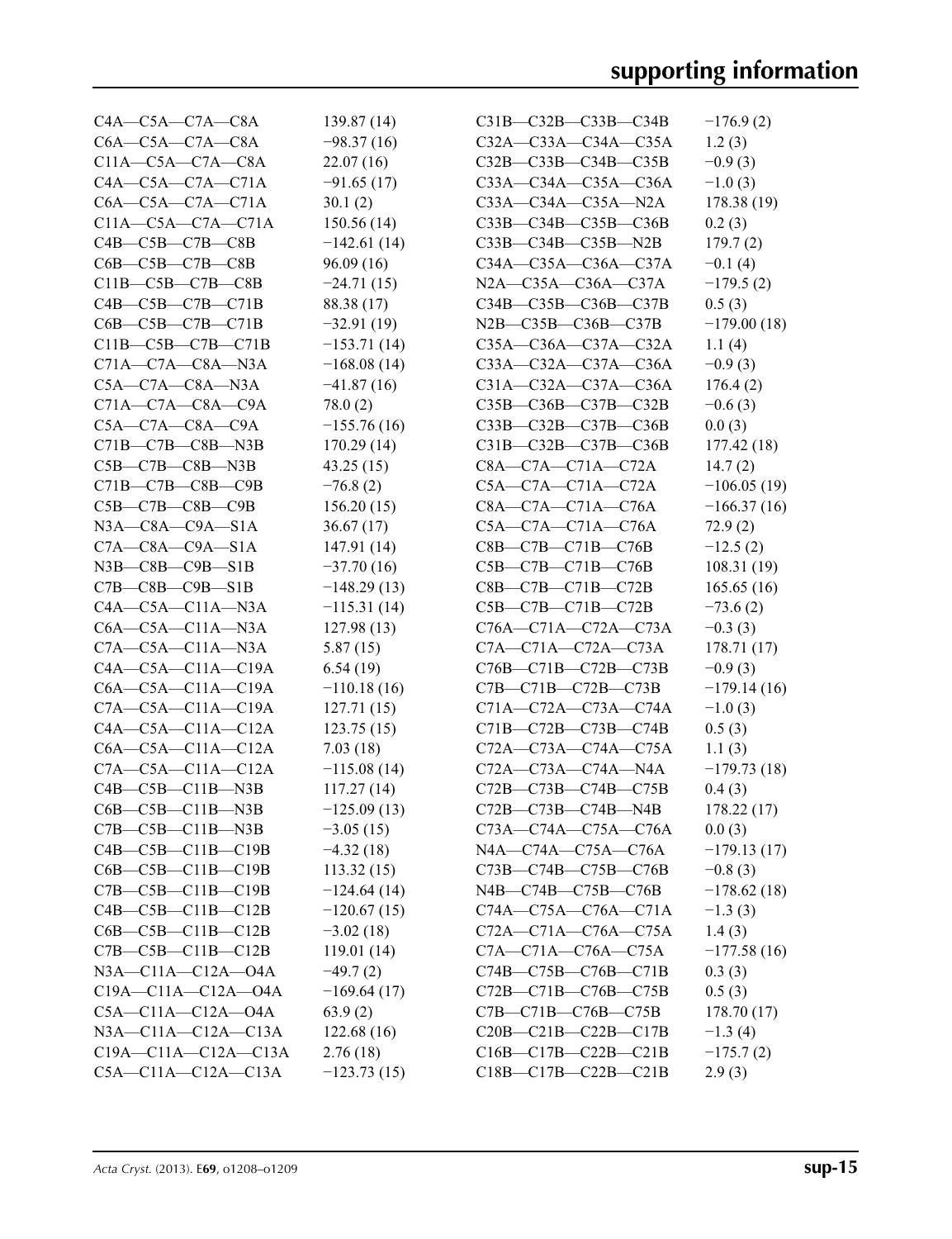| $C4A - C5A - C7A - C8A$       | 139.87 (14)   | $C31B - C32B - C33B - C34B$      | $-176.9(2)$   |
|-------------------------------|---------------|----------------------------------|---------------|
| $C6A - C5A - C7A - C8A$       | $-98.37(16)$  | C32A-C33A-C34A-C35A              | 1.2(3)        |
| $C11A - C5A - C7A - C8A$      | 22.07(16)     | C32B-C33B-C34B-C35B              | $-0.9(3)$     |
| $C4A - C5A - C7A - C71A$      | $-91.65(17)$  | C33A-C34A-C35A-C36A              | $-1.0(3)$     |
| $C6A - C5A - C7A - C71A$      | 30.1(2)       | $C33A - C34A - C35A - N2A$       | 178.38 (19)   |
| C11A-C5A-C7A-C71A             | 150.56(14)    | $C33B - C34B - C35B - C36B$      | 0.2(3)        |
| $C4B - C5B - C7B - C8B$       | $-142.61(14)$ | $C33B - C34B - C35B - N2B$       | 179.7(2)      |
| $C6B - C5B - C7B - C8B$       | 96.09(16)     | $C34A - C35A - C36A - C37A$      | $-0.1(4)$     |
| $C11B - C5B - C7B - C8B$      | $-24.71(15)$  | N2A-C35A-C36A-C37A               | $-179.5(2)$   |
| $C4B - C5B - C7B - C71B$      | 88.38 (17)    | $C34B - C35B - C36B - C37B$      | 0.5(3)        |
| $C6B - C5B - C7B - C71B$      | $-32.91(19)$  | $N2B$ — $C35B$ — $C36B$ — $C37B$ | $-179.00(18)$ |
| $C11B - C5B - C7B - C71B$     | $-153.71(14)$ | $C35A - C36A - C37A - C32A$      | 1.1(4)        |
| $C71A - C7A - C8A - N3A$      | $-168.08(14)$ | C33A-C32A-C37A-C36A              | $-0.9(3)$     |
| $C5A - C7A - C8A - N3A$       | $-41.87(16)$  | C31A-C32A-C37A-C36A              | 176.4(2)      |
| $C71A - C7A - C8A - C9A$      | 78.0(2)       | C35B-C36B-C37B-C32B              | $-0.6(3)$     |
| $C5A - C7A - C8A - C9A$       | $-155.76(16)$ | $C33B - C32B - C37B - C36B$      | 0.0(3)        |
| $C71B - C7B - C8B - N3B$      | 170.29(14)    | $C31B - C32B - C37B - C36B$      | 177.42 (18)   |
| $C5B - C7B - C8B - N3B$       | 43.25(15)     | $C8A - C7A - C71A - C72A$        | 14.7(2)       |
| C71B-C7B-C8B-C9B              | $-76.8(2)$    | $C5A - C7A - C71A - C72A$        | $-106.05(19)$ |
| $C5B$ — $C7B$ — $C8B$ — $C9B$ | 156.20(15)    | $C8A - C7A - C71A - C76A$        | $-166.37(16)$ |
| $N3A$ — $C8A$ — $C9A$ — $S1A$ | 36.67(17)     | $C5A - C7A - C71A - C76A$        | 72.9(2)       |
| $C7A - C8A - C9A - S1A$       | 147.91 (14)   | C8B-C7B-C71B-C76B                | $-12.5(2)$    |
| $N3B$ — $C8B$ — $C9B$ — $S1B$ | $-37.70(16)$  | $C5B - C7B - C71B - C76B$        | 108.31(19)    |
| $C7B - C8B - C9B - S1B$       | $-148.29(13)$ | $C8B - C7B - C71B - C72B$        | 165.65(16)    |
| $C4A - C5A - C11A - N3A$      | $-115.31(14)$ | $C5B - C7B - C71B - C72B$        | $-73.6(2)$    |
| $C6A - C5A - C11A - N3A$      | 127.98(13)    | C76A-C71A-C72A-C73A              | $-0.3(3)$     |
| $C7A - C5A - C11A - N3A$      | 5.87(15)      | $C7A - C71A - C72A - C73A$       | 178.71 (17)   |
| $C4A - C5A - C11A - C19A$     | 6.54(19)      | C76B-C71B-C72B-C73B              | $-0.9(3)$     |
| $C6A - C5A - C11A - C19A$     | $-110.18(16)$ | $C7B - C71B - C72B - C73B$       | $-179.14(16)$ |
| $C7A - C5A - C11A - C19A$     | 127.71(15)    | $C71A - C72A - C73A - C74A$      | $-1.0(3)$     |
| $C4A - C5A - C11A - C12A$     | 123.75(15)    | $C71B - C72B - C73B - C74B$      | 0.5(3)        |
| $C6A - C5A - C11A - C12A$     | 7.03(18)      | $C72A - C73A - C74A - C75A$      | 1.1(3)        |
| $C7A - C5A - C11A - C12A$     | $-115.08(14)$ | $C72A - C73A - C74A - N4A$       | $-179.73(18)$ |
| $C4B - C5B - C11B - N3B$      | 117.27(14)    | C72B-C73B-C74B-C75B              | 0.4(3)        |
| $C6B - C5B - C11B - N3B$      | $-125.09(13)$ | $C72B - C73B - C74B - N4B$       | 178.22(17)    |
| $C7B - C5B - C11B - N3B$      | $-3.05(15)$   | $C73A - C74A - C75A - C76A$      | 0.0(3)        |
| $C4B - C5B - C11B - C19B$     | $-4.32(18)$   | N4A-C74A-C75A-C76A               | $-179.13(17)$ |
| $C6B - C5B - C11B - C19B$     | 113.32(15)    | C73B-C74B-C75B-C76B              | $-0.8(3)$     |
| $C7B - C5B - C11B - C19B$     | $-124.64(14)$ | N4B-C74B-C75B-C76B               | $-178.62(18)$ |
| $C4B - C5B - C11B - C12B$     | $-120.67(15)$ | C74A-C75A-C76A-C71A              | $-1.3(3)$     |
| $C6B - C5B - C11B - C12B$     | $-3.02(18)$   | $C72A - C71A - C76A - C75A$      | 1.4(3)        |
| $C7B - C5B - C11B - C12B$     | 119.01(14)    | C7A-C71A-C76A-C75A               | $-177.58(16)$ |
| N3A-C11A-C12A-04A             | $-49.7(2)$    | C74B-C75B-C76B-C71B              | 0.3(3)        |
| C19A-C11A-C12A-O4A            | $-169.64(17)$ | C72B-C71B-C76B-C75B              | 0.5(3)        |
| C5A—C11A—C12A—O4A             | 63.9(2)       | $C7B - C71B - C76B - C75B$       | 178.70(17)    |
| $N3A - C11A - C12A - C13A$    | 122.68(16)    | $C20B - C21B - C22B - C17B$      | $-1.3(4)$     |
| $C19A - C11A - C12A - C13A$   | 2.76(18)      | $C16B - C17B - C22B - C21B$      | $-175.7(2)$   |
| $C5A - C11A - C12A - C13A$    | $-123.73(15)$ | $C18B - C17B - C22B - C21B$      | 2.9(3)        |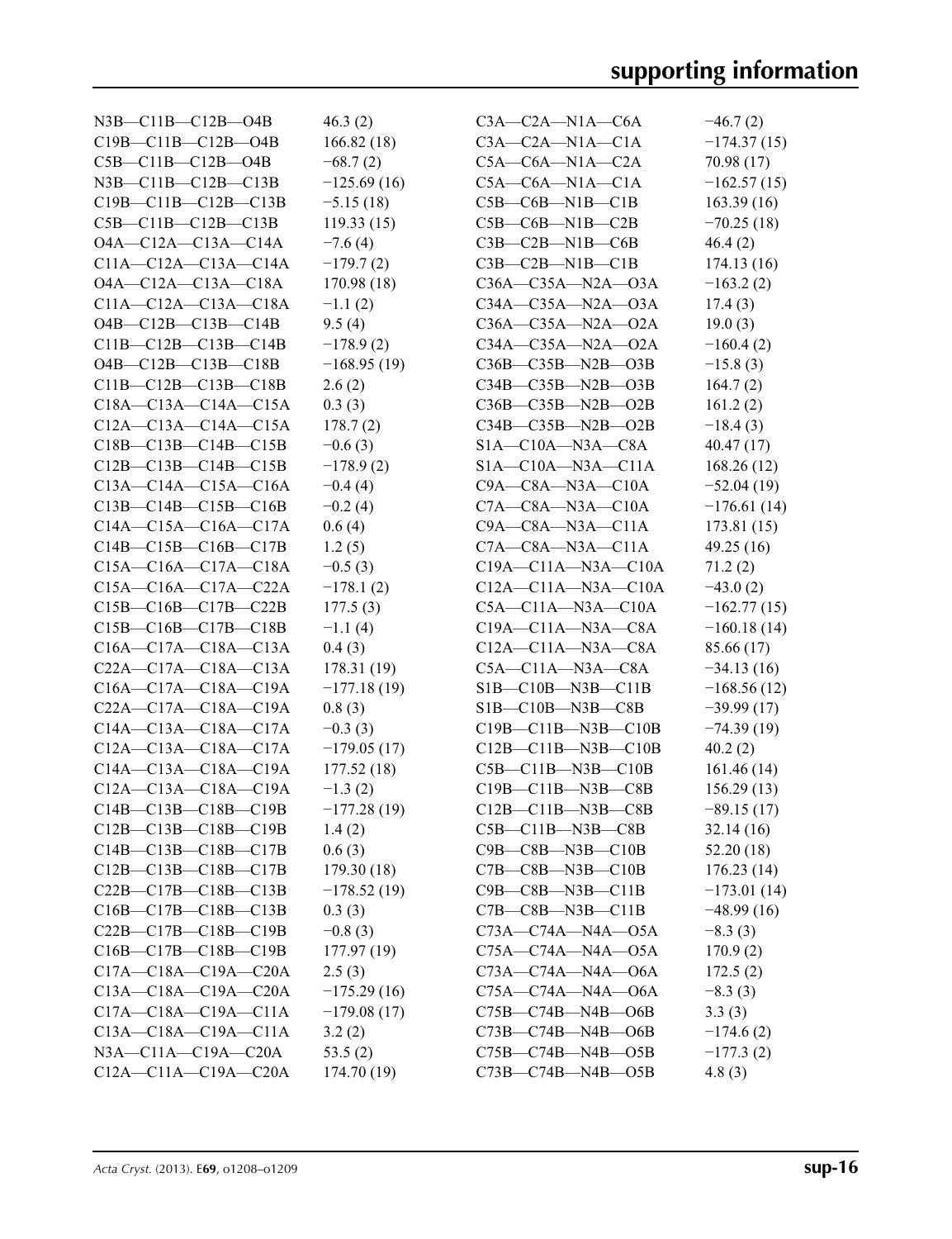| N3B—C11B—C12B—O4B           | 46.3(2)       | $C3A - C2A - N1A - C6A$    | $-46.7(2)$    |
|-----------------------------|---------------|----------------------------|---------------|
| $C19B - C11B - C12B - O4B$  | 166.82(18)    | $C3A - C2A - N1A - C1A$    | $-174.37(15)$ |
| $C5B - C11B - C12B - O4B$   | $-68.7(2)$    | $C5A - C6A - N1A - C2A$    | 70.98(17)     |
| $N3B - C11B - C12B - C13B$  | $-125.69(16)$ | $C5A - C6A - N1A - C1A$    | $-162.57(15)$ |
| $C19B - C11B - C12B - C13B$ | $-5.15(18)$   | $C5B - C6B - N1B - C1B$    | 163.39(16)    |
| $C5B - C11B - C12B - C13B$  | 119.33(15)    | $C5B - C6B - N1B - C2B$    | $-70.25(18)$  |
| O4A-C12A-C13A-C14A          | $-7.6(4)$     | $C3B - C2B - N1B - C6B$    | 46.4(2)       |
| $C11A-C12A-C13A-C14A$       | $-179.7(2)$   | $C3B - C2B - N1B - C1B$    | 174.13(16)    |
| $O4A - C12A - C13A - C18A$  | 170.98(18)    | $C36A - C35A - N2A - 03A$  | $-163.2(2)$   |
| $C11A - C12A - C13A - C18A$ | $-1.1(2)$     | $C34A - C35A - N2A - O3A$  | 17.4(3)       |
| $O4B - C12B - C13B - C14B$  | 9.5(4)        | $C36A - C35A - N2A - 02A$  | 19.0(3)       |
| $C11B - C12B - C13B - C14B$ | $-178.9(2)$   | $C34A - C35A - N2A - 02A$  | $-160.4(2)$   |
| $O4B - C12B - C13B - C18B$  | $-168.95(19)$ | $C36B - C35B - N2B - O3B$  | $-15.8(3)$    |
| $C11B-C12B-C13B-C18B$       | 2.6(2)        | $C34B - C35B - N2B - O3B$  | 164.7(2)      |
| $C18A - C13A - C14A - C15A$ | 0.3(3)        | $C36B - C35B - N2B - O2B$  | 161.2(2)      |
| $C12A - C13A - C14A - C15A$ | 178.7(2)      | $C34B - C35B - N2B - O2B$  | $-18.4(3)$    |
| $C18B - C13B - C14B - C15B$ | $-0.6(3)$     | $S1A - C10A - N3A - C8A$   | 40.47(17)     |
| $C12B - C13B - C14B - C15B$ | $-178.9(2)$   | $SIA - C10A - N3A - C11A$  | 168.26(12)    |
| $C13A - C14A - C15A - C16A$ | $-0.4(4)$     | $C9A - C8A - N3A - C10A$   | $-52.04(19)$  |
| $C13B - C14B - C15B - C16B$ | $-0.2(4)$     | $C7A - C8A - N3A - C10A$   | $-176.61(14)$ |
| $C14A - C15A - C16A - C17A$ | 0.6(4)        | $C9A - C8A - N3A - C11A$   |               |
| $C14B - C15B - C16B - C17B$ | 1.2(5)        |                            | 173.81 (15)   |
|                             |               | $C7A - C8A - N3A - C11A$   | 49.25(16)     |
| C15A-C16A-C17A-C18A         | $-0.5(3)$     | $C19A - C11A - N3A - C10A$ | 71.2(2)       |
| $C15A - C16A - C17A - C22A$ | $-178.1(2)$   | $C12A - C11A - N3A - C10A$ | $-43.0(2)$    |
| $C15B - C16B - C17B - C22B$ | 177.5(3)      | $C5A - C11A - N3A - C10A$  | $-162.77(15)$ |
| $C15B - C16B - C17B - C18B$ | $-1.1(4)$     | $C19A - C11A - N3A - C8A$  | $-160.18(14)$ |
| $C16A - C17A - C18A - C13A$ | 0.4(3)        | $C12A - C11A - N3A - C8A$  | 85.66 (17)    |
| $C22A - C17A - C18A - C13A$ | 178.31(19)    | $C5A - C11A - N3A - C8A$   | $-34.13(16)$  |
| C16A-C17A-C18A-C19A         | $-177.18(19)$ | $SIB - ClOB - N3B - ClIB$  | $-168.56(12)$ |
| $C22A - C17A - C18A - C19A$ | 0.8(3)        | $SIB - C10B - N3B - C8B$   | $-39.99(17)$  |
| $C14A - C13A - C18A - C17A$ | $-0.3(3)$     | $C19B - C11B - N3B - C10B$ | $-74.39(19)$  |
| C12A-C13A-C18A-C17A         | $-179.05(17)$ | $C12B - C11B - N3B - C10B$ | 40.2(2)       |
| C14A-C13A-C18A-C19A         | 177.52(18)    | $C5B - C11B - N3B - C10B$  | 161.46 (14)   |
| $C12A - C13A - C18A - C19A$ | $-1.3(2)$     | $C19B - C11B - N3B - C8B$  | 156.29(13)    |
| $C14B - C13B - C18B - C19B$ | $-177.28(19)$ | $C12B - C11B - N3B - C8B$  | $-89.15(17)$  |
| $C12B - C13B - C18B - C19B$ | 1.4(2)        | $C5B - C11B - N3B - C8B$   | 32.14(16)     |
| $C14B - C13B - C18B - C17B$ | 0.6(3)        | $C9B - C8B - N3B - C10B$   | 52.20(18)     |
| $C12B - C13B - C18B - C17B$ | 179.30(18)    | $C7B - C8B - N3B - C10B$   | 176.23(14)    |
| $C22B - C17B - C18B - C13B$ | $-178.52(19)$ | $C9B - C8B - N3B - C11B$   | $-173.01(14)$ |
| $C16B - C17B - C18B - C13B$ | 0.3(3)        | $C7B - C8B - N3B - C11B$   | $-48.99(16)$  |
| $C22B - C17B - C18B - C19B$ | $-0.8(3)$     | $C73A - C74A - N4A - 05A$  | $-8.3(3)$     |
| $C16B - C17B - C18B - C19B$ | 177.97(19)    | $C75A - C74A - N4A - 05A$  | 170.9(2)      |
| $C17A - C18A - C19A - C20A$ | 2.5(3)        | $C73A - C74A - N4A - 06A$  | 172.5(2)      |
| $C13A - C18A - C19A - C20A$ | $-175.29(16)$ | $C75A - C74A - N4A - O6A$  | $-8.3(3)$     |
| $C17A - C18A - C19A - C11A$ | $-179.08(17)$ | $C75B - C74B - N4B - O6B$  | 3.3(3)        |
| $C13A - C18A - C19A - C11A$ | 3.2(2)        | $C73B - C74B - N4B - O6B$  | $-174.6(2)$   |
| $N3A - C11A - C19A - C20A$  | 53.5(2)       | $C75B - C74B - N4B - O5B$  | $-177.3(2)$   |
| $C12A - C11A - C19A - C20A$ | 174.70 (19)   | $C73B - C74B - N4B - O5B$  | 4.8(3)        |